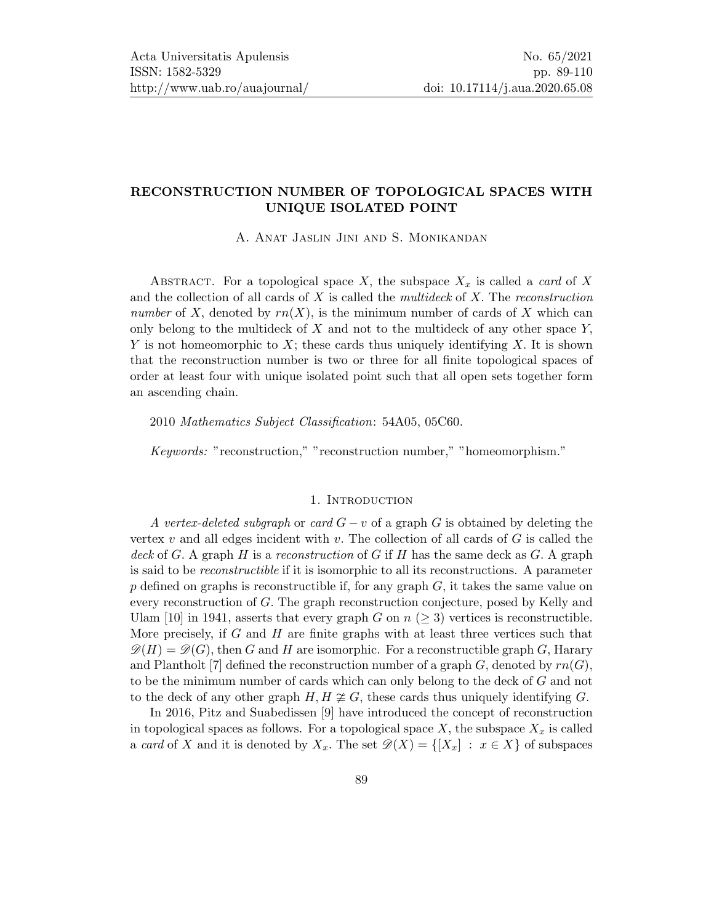# RECONSTRUCTION NUMBER OF TOPOLOGICAL SPACES WITH UNIQUE ISOLATED POINT

A. Anat Jaslin Jini and S. Monikandan

ABSTRACT. For a topological space X, the subspace  $X_x$  is called a *card* of X and the collection of all cards of  $X$  is called the *multideck* of  $X$ . The *reconstruction* number of X, denoted by  $rn(X)$ , is the minimum number of cards of X which can only belong to the multideck of  $X$  and not to the multideck of any other space  $Y$ , Y is not homeomorphic to  $X$ ; these cards thus uniquely identifying  $X$ . It is shown that the reconstruction number is two or three for all finite topological spaces of order at least four with unique isolated point such that all open sets together form an ascending chain.

2010 Mathematics Subject Classification: 54A05, 05C60.

Keywords: "reconstruction," "reconstruction number," "homeomorphism."

## 1. INTRODUCTION

A vertex-deleted subgraph or card  $G - v$  of a graph G is obtained by deleting the vertex  $v$  and all edges incident with  $v$ . The collection of all cards of  $G$  is called the deck of G. A graph H is a reconstruction of G if H has the same deck as G. A graph is said to be reconstructible if it is isomorphic to all its reconstructions. A parameter p defined on graphs is reconstructible if, for any graph  $G$ , it takes the same value on every reconstruction of G. The graph reconstruction conjecture, posed by Kelly and Ulam [\[10\]](#page-21-1) in 1941, asserts that every graph G on  $n (> 3)$  vertices is reconstructible. More precisely, if  $G$  and  $H$  are finite graphs with at least three vertices such that  $\mathscr{D}(H) = \mathscr{D}(G)$ , then G and H are isomorphic. For a reconstructible graph G, Harary and Plantholt [\[7\]](#page-21-2) defined the reconstruction number of a graph  $G$ , denoted by  $rn(G)$ , to be the minimum number of cards which can only belong to the deck of G and not to the deck of any other graph  $H, H \not\cong G$ , these cards thus uniquely identifying G.

In 2016, Pitz and Suabedissen [\[9\]](#page-21-3) have introduced the concept of reconstruction in topological spaces as follows. For a topological space  $X$ , the subspace  $X_x$  is called a card of X and it is denoted by  $X_x$ . The set  $\mathscr{D}(X) = \{[X_x] : x \in X\}$  of subspaces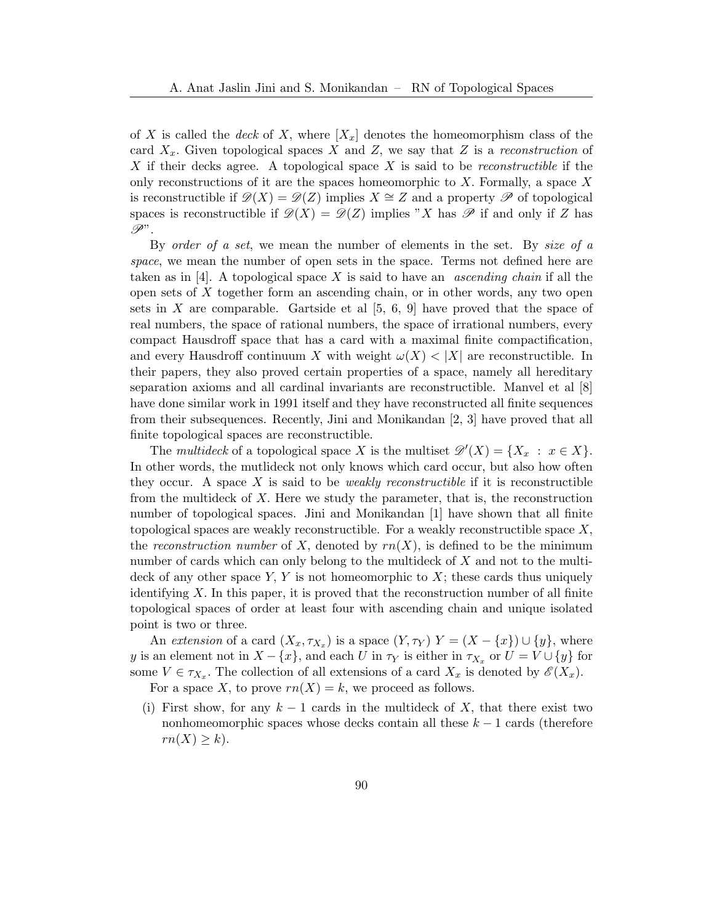of X is called the deck of X, where  $[X_x]$  denotes the homeomorphism class of the card  $X_x$ . Given topological spaces X and Z, we say that Z is a reconstruction of X if their decks agree. A topological space X is said to be *reconstructible* if the only reconstructions of it are the spaces homeomorphic to  $X$ . Formally, a space  $X$ is reconstructible if  $\mathcal{D}(X) = \mathcal{D}(Z)$  implies  $X \cong Z$  and a property  $\mathcal P$  of topological spaces is reconstructible if  $\mathcal{D}(X) = \mathcal{D}(Z)$  implies "X has  $\mathcal P$  if and only if Z has  $\mathscr{P}'$  .

By order of a set, we mean the number of elements in the set. By size of a space, we mean the number of open sets in the space. Terms not defined here are taken as in [\[4\]](#page-21-4). A topological space X is said to have an *ascending chain* if all the open sets of X together form an ascending chain, or in other words, any two open sets in  $X$  are comparable. Gartside et al  $[5, 6, 9]$  $[5, 6, 9]$  $[5, 6, 9]$  have proved that the space of real numbers, the space of rational numbers, the space of irrational numbers, every compact Hausdroff space that has a card with a maximal finite compactification, and every Hausdroff continuum X with weight  $\omega(X) < |X|$  are reconstructible. In their papers, they also proved certain properties of a space, namely all hereditary separation axioms and all cardinal invariants are reconstructible. Manvel et al [\[8\]](#page-21-7) have done similar work in 1991 itself and they have reconstructed all finite sequences from their subsequences. Recently, Jini and Monikandan [\[2,](#page-20-0) [3\]](#page-21-8) have proved that all finite topological spaces are reconstructible.

The multideck of a topological space X is the multiset  $\mathscr{D}'(X) = \{X_x : x \in X\}.$ In other words, the mutlideck not only knows which card occur, but also how often they occur. A space X is said to be *weakly reconstructible* if it is reconstructible from the multideck of  $X$ . Here we study the parameter, that is, the reconstruction number of topological spaces. Jini and Monikandan [\[1\]](#page-20-1) have shown that all finite topological spaces are weakly reconstructible. For a weakly reconstructible space  $X$ , the reconstruction number of X, denoted by  $rn(X)$ , is defined to be the minimum number of cards which can only belong to the multideck of  $X$  and not to the multideck of any other space  $Y, Y$  is not homeomorphic to  $X$ ; these cards thus uniquely identifying  $X$ . In this paper, it is proved that the reconstruction number of all finite topological spaces of order at least four with ascending chain and unique isolated point is two or three.

An extension of a card  $(X_x, \tau_{X_x})$  is a space  $(Y, \tau_Y)$   $Y = (X - \{x\}) \cup \{y\}$ , where y is an element not in  $X - \{x\}$ , and each U in  $\tau_Y$  is either in  $\tau_{X_x}$  or  $U = V \cup \{y\}$  for some  $V \in \tau_{X_x}$ . The collection of all extensions of a card  $X_x$  is denoted by  $\mathscr{E}(X_x)$ . For a space X, to prove  $rn(X) = k$ , we proceed as follows.

(i) First show, for any  $k-1$  cards in the multideck of X, that there exist two nonhomeomorphic spaces whose decks contain all these  $k - 1$  cards (therefore  $rn(X) \geq k$ ).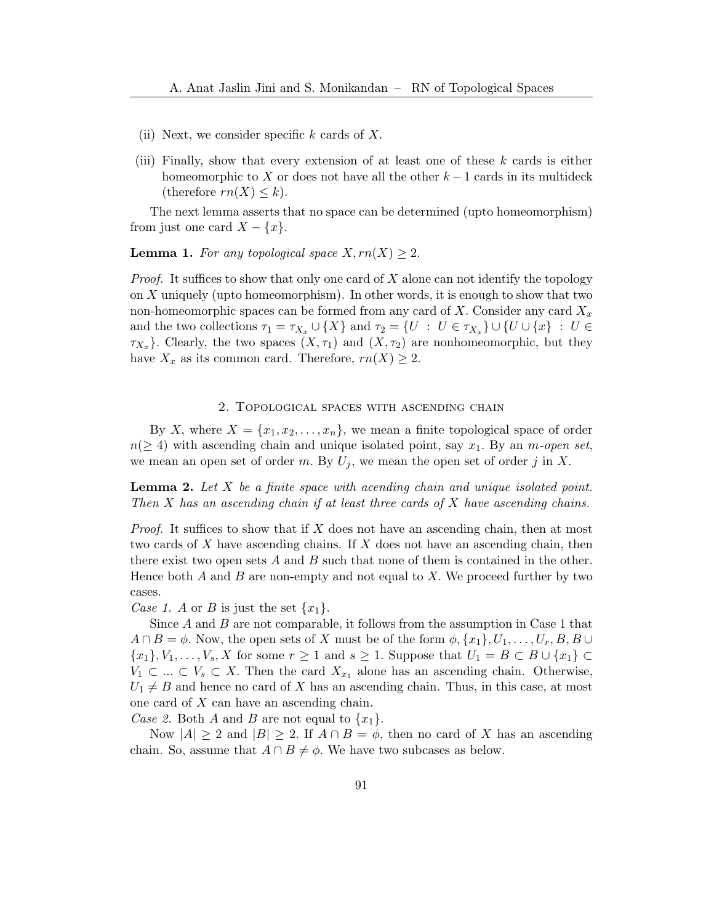- (ii) Next, we consider specific  $k$  cards of  $X$ .
- (iii) Finally, show that every extension of at least one of these  $k$  cards is either homeomorphic to X or does not have all the other  $k-1$  cards in its multideck (therefore  $rn(X) \leq k$ ).

The next lemma asserts that no space can be determined (upto homeomorphism) from just one card  $X - \{x\}.$ 

<span id="page-2-0"></span>**Lemma 1.** For any topological space  $X, rn(X) \geq 2$ .

*Proof.* It suffices to show that only one card of X alone can not identify the topology on X uniquely (upto homeomorphism). In other words, it is enough to show that two non-homeomorphic spaces can be formed from any card of X. Consider any card  $X_x$ and the two collections  $\tau_1 = \tau_{X_x} \cup \{X\}$  and  $\tau_2 = \{U : U \in \tau_{X_x}\} \cup \{U \cup \{x\} : U \in$  $\tau_{X_x}$ . Clearly, the two spaces  $(X, \tau_1)$  and  $(X, \tau_2)$  are nonhomeomorphic, but they have  $X_x$  as its common card. Therefore,  $rn(X) \geq 2$ .

### 2. Topological spaces with ascending chain

By X, where  $X = \{x_1, x_2, \ldots, x_n\}$ , we mean a finite topological space of order  $n(\geq 4)$  with ascending chain and unique isolated point, say  $x_1$ . By an *m-open set*, we mean an open set of order m. By  $U_j$ , we mean the open set of order j in X.

<span id="page-2-1"></span>**Lemma 2.** Let  $X$  be a finite space with acending chain and unique isolated point. Then  $X$  has an ascending chain if at least three cards of  $X$  have ascending chains.

*Proof.* It suffices to show that if X does not have an ascending chain, then at most two cards of X have ascending chains. If X does not have an ascending chain, then there exist two open sets A and B such that none of them is contained in the other. Hence both  $A$  and  $B$  are non-empty and not equal to  $X$ . We proceed further by two cases.

Case 1. A or B is just the set  $\{x_1\}$ .

Since  $A$  and  $B$  are not comparable, it follows from the assumption in Case 1 that  $A \cap B = \phi$ . Now, the open sets of X must be of the form  $\phi$ ,  $\{x_1\}$ ,  $U_1, \ldots, U_r$ ,  $B$ ,  $B \cup$  ${x_1}, {V_1}, \ldots, {V_s}, X$  for some  $r \geq 1$  and  $s \geq 1$ . Suppose that  $U_1 = B \subset B \cup \{x_1\} \subset$  $V_1 \subset \ldots \subset V_s \subset X$ . Then the card  $X_{x_1}$  alone has an ascending chain. Otherwise,  $U_1 \neq B$  and hence no card of X has an ascending chain. Thus, in this case, at most one card of X can have an ascending chain.

Case 2. Both A and B are not equal to  $\{x_1\}$ .

Now  $|A| \geq 2$  and  $|B| \geq 2$ . If  $A \cap B = \phi$ , then no card of X has an ascending chain. So, assume that  $A \cap B \neq \emptyset$ . We have two subcases as below.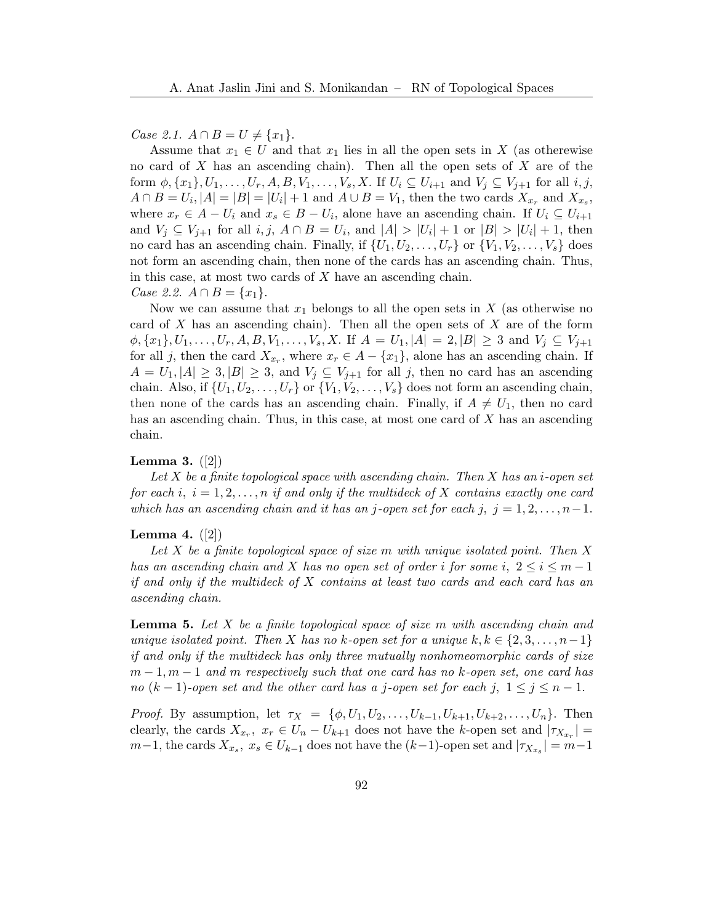Case 2.1.  $A \cap B = U ≠ \{x_1\}.$ 

Assume that  $x_1 \in U$  and that  $x_1$  lies in all the open sets in X (as otherewise no card of  $X$  has an ascending chain). Then all the open sets of  $X$  are of the form  $\phi$ ,  $\{x_1\}$ ,  $U_1, \ldots, U_r$ ,  $A, B, V_1, \ldots, V_s$ ,  $X$ . If  $U_i \subseteq U_{i+1}$  and  $V_j \subseteq V_{j+1}$  for all  $i, j$ ,  $A \cap B = U_i, |A| = |B| = |U_i| + 1$  and  $A \cup B = V_1$ , then the two cards  $X_{x_r}$  and  $X_{x_s}$ , where  $x_r \in A - U_i$  and  $x_s \in B - U_i$ , alone have an ascending chain. If  $U_i \subseteq U_{i+1}$ and  $V_j \subseteq V_{j+1}$  for all  $i, j, A \cap B = U_i$ , and  $|A| > |U_i| + 1$  or  $|B| > |U_i| + 1$ , then no card has an ascending chain. Finally, if  $\{U_1, U_2, \ldots, U_r\}$  or  $\{V_1, V_2, \ldots, V_s\}$  does not form an ascending chain, then none of the cards has an ascending chain. Thus, in this case, at most two cards of X have an ascending chain. Case 2.2.  $A \cap B = \{x_1\}.$ 

Now we can assume that  $x_1$  belongs to all the open sets in X (as otherwise no card of X has an ascending chain). Then all the open sets of X are of the form  $\phi$ ,  $\{x_1\}$ ,  $U_1, \ldots, U_r$ ,  $A, B, V_1, \ldots, V_s$ ,  $X$ . If  $A = U_1$ ,  $|A| = 2$ ,  $|B| \geq 3$  and  $V_i \subseteq V_{i+1}$ for all j, then the card  $X_{x_r}$ , where  $x_r \in A - \{x_1\}$ , alone has an ascending chain. If  $A = U_1, |A| \geq 3, |B| \geq 3$ , and  $V_j \subseteq V_{j+1}$  for all j, then no card has an ascending chain. Also, if  $\{U_1, U_2, \ldots, U_r\}$  or  $\{V_1, V_2, \ldots, V_s\}$  does not form an ascending chain, then none of the cards has an ascending chain. Finally, if  $A \neq U_1$ , then no card has an ascending chain. Thus, in this case, at most one card of X has an ascending chain.

#### <span id="page-3-1"></span>**Lemma 3.**  $([2])$  $([2])$  $([2])$

Let  $X$  be a finite topological space with ascending chain. Then  $X$  has an i-open set for each i,  $i = 1, 2, ..., n$  if and only if the multideck of X contains exactly one card which has an ascending chain and it has an j-open set for each j,  $j = 1, 2, \ldots, n-1$ .

#### <span id="page-3-0"></span>Lemma 4.  $([2])$  $([2])$  $([2])$

Let  $X$  be a finite topological space of size  $m$  with unique isolated point. Then  $X$ has an ascending chain and X has no open set of order i for some i,  $2 \le i \le m-1$ if and only if the multideck of X contains at least two cards and each card has an ascending chain.

<span id="page-3-2"></span>**Lemma 5.** Let  $X$  be a finite topological space of size  $m$  with ascending chain and unique isolated point. Then X has no k-open set for a unique  $k, k \in \{2, 3, \ldots, n-1\}$ if and only if the multideck has only three mutually nonhomeomorphic cards of size  $m-1, m-1$  and m respectively such that one card has no k-open set, one card has no  $(k-1)$ -open set and the other card has a j-open set for each j,  $1 \le j \le n-1$ .

*Proof.* By assumption, let  $\tau_X = \{\phi, U_1, U_2, \ldots, U_{k-1}, U_{k+1}, U_{k+2}, \ldots, U_n\}$ . Then clearly, the cards  $X_{x_r}$ ,  $x_r \in U_n - U_{k+1}$  does not have the k-open set and  $|\tau_{X_{x_r}}| =$  $m-1$ , the cards  $X_{x_s}$ ,  $x_s \in U_{k-1}$  does not have the  $(k-1)$ -open set and  $|\tau_{X_{x_s}}| = m-1$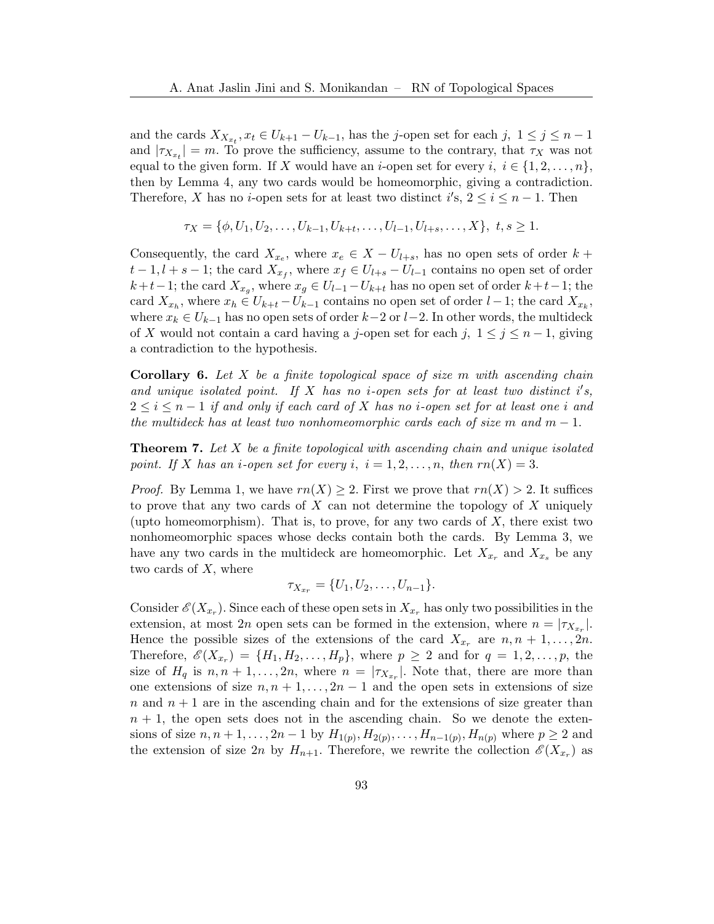and the cards  $X_{X_{x_t}}, x_t \in U_{k+1} - U_{k-1}$ , has the j-open set for each j,  $1 \leq j \leq n-1$ and  $|\tau_{X_{x_t}}| = m$ . To prove the sufficiency, assume to the contrary, that  $\tau_X$  was not equal to the given form. If X would have an *i*-open set for every  $i, i \in \{1, 2, ..., n\}$ , then by Lemma [4,](#page-3-0) any two cards would be homeomorphic, giving a contradiction. Therefore, X has no *i*-open sets for at least two distinct  $i's$ ,  $2 \le i \le n-1$ . Then

$$
\tau_X = \{\phi, U_1, U_2, \dots, U_{k-1}, U_{k+t}, \dots, U_{l-1}, U_{l+s}, \dots, X\}, \ t, s \ge 1.
$$

Consequently, the card  $X_{x_e}$ , where  $x_e \in X - U_{l+s}$ , has no open sets of order  $k +$  $t-1, l+s-1$ ; the card  $X_{x_f}$ , where  $x_f \in U_{l+s}-U_{l-1}$  contains no open set of order  $k+t-1$ ; the card  $X_{x_g}$ , where  $x_g \in U_{l-1} - U_{k+t}$  has no open set of order  $k+t-1$ ; the card  $X_{x_h}$ , where  $x_h \in U_{k+t} - U_{k-1}$  contains no open set of order  $l-1$ ; the card  $X_{x_k}$ , where  $x_k \in U_{k-1}$  has no open sets of order  $k-2$  or  $l-2$ . In other words, the multideck of X would not contain a card having a j-open set for each j,  $1 \le j \le n-1$ , giving a contradiction to the hypothesis.

**Corollary 6.** Let X be a finite topological space of size  $m$  with ascending chain and unique isolated point. If  $X$  has no *i*-open sets for at least two distinct i's,  $2 \leq i \leq n-1$  if and only if each card of X has no *i*-open set for at least one *i* and the multideck has at least two nonhomeomorphic cards each of size m and  $m-1$ .

**Theorem 7.** Let  $X$  be a finite topological with ascending chain and unique isolated point. If X has an *i*-open set for every *i*,  $i = 1, 2, ..., n$ , then  $rn(X) = 3$ .

*Proof.* By Lemma [1,](#page-2-0) we have  $rn(X) \geq 2$ . First we prove that  $rn(X) > 2$ . It suffices to prove that any two cards of  $X$  can not determine the topology of  $X$  uniquely (upto homeomorphism). That is, to prove, for any two cards of  $X$ , there exist two nonhomeomorphic spaces whose decks contain both the cards. By Lemma [3,](#page-3-1) we have any two cards in the multideck are homeomorphic. Let  $X_{x_r}$  and  $X_{x_s}$  be any two cards of X, where

$$
\tau_{X_{x_r}} = \{U_1, U_2, \ldots, U_{n-1}\}.
$$

Consider  $\mathscr{E}(X_{x_r})$ . Since each of these open sets in  $X_{x_r}$  has only two possibilities in the extension, at most 2n open sets can be formed in the extension, where  $n = |\tau_{X_{x_r}}|$ . Hence the possible sizes of the extensions of the card  $X_{x_r}$  are  $n, n+1, \ldots, 2n$ . Therefore,  $\mathscr{E}(X_{x_r}) = \{H_1, H_2, \ldots, H_p\}$ , where  $p \geq 2$  and for  $q = 1, 2, \ldots, p$ , the size of  $H_q$  is  $n, n+1, \ldots, 2n$ , where  $n = |\tau_{X_{x_r}}|$ . Note that, there are more than one extensions of size  $n, n+1, \ldots, 2n-1$  and the open sets in extensions of size  $n$  and  $n + 1$  are in the ascending chain and for the extensions of size greater than  $n + 1$ , the open sets does not in the ascending chain. So we denote the extensions of size  $n, n+1, ..., 2n-1$  by  $H_{1(p)}, H_{2(p)}, ..., H_{n-1(p)}, H_{n(p)}$  where  $p \ge 2$  and the extension of size 2n by  $H_{n+1}$ . Therefore, we rewrite the collection  $\mathscr{E}(X_{x_r})$  as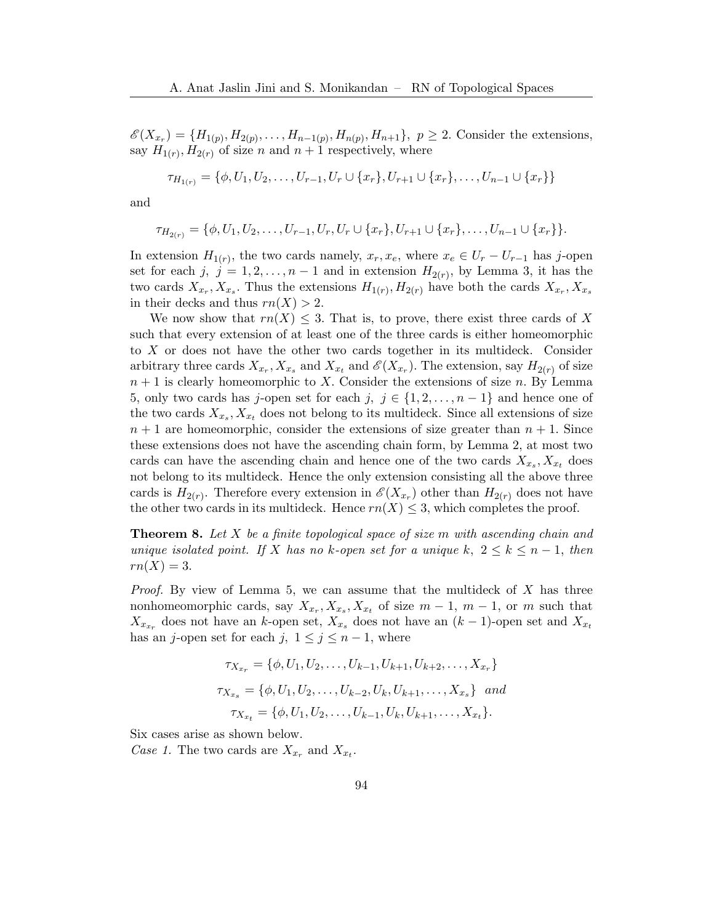$\mathscr{E}(X_{x_r}) = \{H_{1(p)}, H_{2(p)}, \ldots, H_{n-1(p)}, H_{n(p)}, H_{n+1}\}, p \ge 2$ . Consider the extensions, say  $H_{1(r)}$ ,  $H_{2(r)}$  of size n and  $n+1$  respectively, where

$$
\tau_{H_{1(r)}} = \{ \phi, U_1, U_2, \dots, U_{r-1}, U_r \cup \{x_r\}, U_{r+1} \cup \{x_r\}, \dots, U_{n-1} \cup \{x_r\} \}
$$

and

$$
\tau_{H_{2(r)}} = \{\phi, U_1, U_2, \ldots, U_{r-1}, U_r, U_r \cup \{x_r\}, U_{r+1} \cup \{x_r\}, \ldots, U_{n-1} \cup \{x_r\}\}.
$$

In extension  $H_{1(r)}$ , the two cards namely,  $x_r, x_e$ , where  $x_e \in U_r - U_{r-1}$  has j-open set for each j,  $j = 1, 2, ..., n-1$  and in extension  $H_{2(r)}$ , by Lemma [3,](#page-3-1) it has the two cards  $X_{x_r}, X_{x_s}$ . Thus the extensions  $H_{1(r)}, H_{2(r)}$  have both the cards  $X_{x_r}, X_{x_s}$ in their decks and thus  $rn(X) > 2$ .

We now show that  $rn(X) \leq 3$ . That is, to prove, there exist three cards of X such that every extension of at least one of the three cards is either homeomorphic to X or does not have the other two cards together in its multideck. Consider arbitrary three cards  $X_{x_r}, X_{x_s}$  and  $X_{x_t}$  and  $\mathscr{E}(X_{x_r})$ . The extension, say  $H_{2(r)}$  of size  $n + 1$  is clearly homeomorphic to X. Consider the extensions of size n. By Lemma [5,](#page-3-2) only two cards has j-open set for each j,  $j \in \{1, 2, \ldots, n-1\}$  and hence one of the two cards  $X_{x_s}, X_{x_t}$  does not belong to its multideck. Since all extensions of size  $n+1$  are homeomorphic, consider the extensions of size greater than  $n+1$ . Since these extensions does not have the ascending chain form, by Lemma [2,](#page-2-1) at most two cards can have the ascending chain and hence one of the two cards  $X_{x_s}, X_{x_t}$  does not belong to its multideck. Hence the only extension consisting all the above three cards is  $H_{2(r)}$ . Therefore every extension in  $\mathscr{E}(X_{x_r})$  other than  $H_{2(r)}$  does not have the other two cards in its multideck. Hence  $rn(X) \leq 3$ , which completes the proof.

<span id="page-5-0"></span>**Theorem 8.** Let  $X$  be a finite topological space of size m with ascending chain and unique isolated point. If X has no k-open set for a unique k,  $2 \leq k \leq n-1$ , then  $rn(X) = 3.$ 

*Proof.* By view of Lemma [5,](#page-3-2) we can assume that the multideck of  $X$  has three nonhomeomorphic cards, say  $X_{x_r}, X_{x_s}, X_{x_t}$  of size  $m-1$ ,  $m-1$ , or m such that  $X_{x_{x_r}}$  does not have an k-open set,  $X_{x_s}$  does not have an  $(k-1)$ -open set and  $X_{x_t}$ has an j-open set for each j,  $1 \leq j \leq n-1$ , where

$$
\tau_{X_{x_r}} = \{ \phi, U_1, U_2, \dots, U_{k-1}, U_{k+1}, U_{k+2}, \dots, X_{x_r} \}
$$

$$
\tau_{X_{x_s}} = \{ \phi, U_1, U_2, \dots, U_{k-2}, U_k, U_{k+1}, \dots, X_{x_s} \} \text{ and }
$$

$$
\tau_{X_{x_t}} = \{ \phi, U_1, U_2, \dots, U_{k-1}, U_k, U_{k+1}, \dots, X_{x_t} \}.
$$

Six cases arise as shown below.

Case 1. The two cards are  $X_{x_r}$  and  $X_{x_t}$ .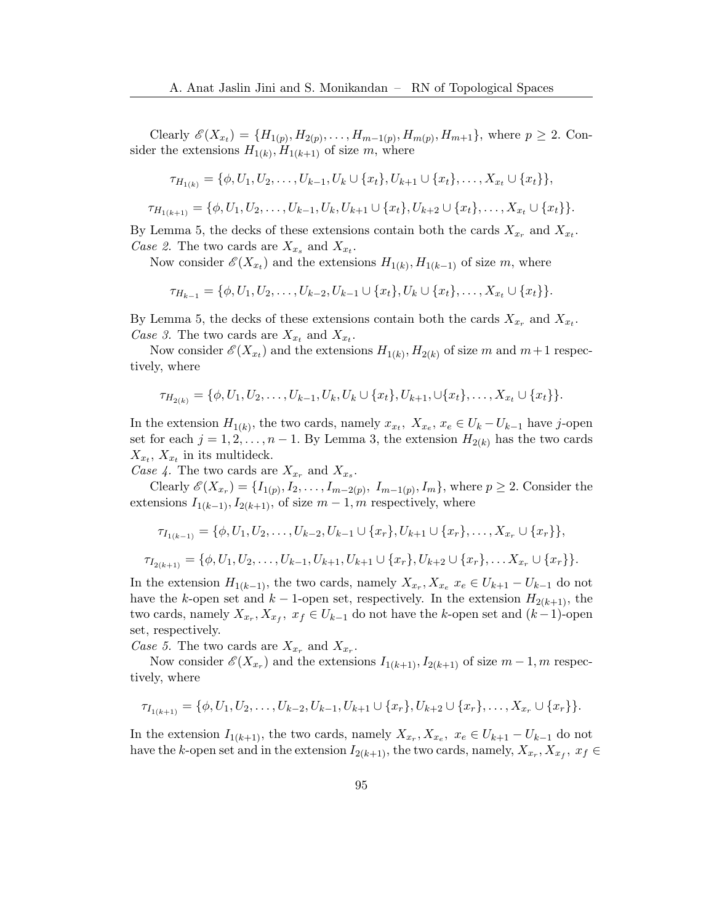Clearly  $\mathscr{E}(X_{x_t}) = \{H_{1(p)}, H_{2(p)}, \ldots, H_{m-1(p)}, H_{m(p)}, H_{m+1}\}\$ , where  $p \geq 2$ . Consider the extensions  $H_{1(k)}, H_{1(k+1)}$  of size m, where

$$
\tau_{H_{1(k)}} = \{\phi, U_1, U_2, \dots, U_{k-1}, U_k \cup \{x_t\}, U_{k+1} \cup \{x_t\}, \dots, X_{x_t} \cup \{x_t\}\},\
$$

$$
\tau_{H_{1(k+1)}} = \{ \phi, U_1, U_2, \dots, U_{k-1}, U_k, U_{k+1} \cup \{x_t\}, U_{k+2} \cup \{x_t\}, \dots, X_{x_t} \cup \{x_t\} \}.
$$

By Lemma [5,](#page-3-2) the decks of these extensions contain both the cards  $X_{x_r}$  and  $X_{x_t}$ . Case 2. The two cards are  $X_{x_s}$  and  $X_{x_t}$ .

Now consider  $\mathscr{E}(X_{x_t})$  and the extensions  $H_{1(k)}$ ,  $H_{1(k-1)}$  of size m, where

$$
\tau_{H_{k-1}} = \{\phi, U_1, U_2, \ldots, U_{k-2}, U_{k-1} \cup \{x_t\}, U_k \cup \{x_t\}, \ldots, X_{x_t} \cup \{x_t\} \}.
$$

By Lemma [5,](#page-3-2) the decks of these extensions contain both the cards  $X_{x_r}$  and  $X_{x_t}$ . Case 3. The two cards are  $X_{x_t}$  and  $X_{x_t}$ .

Now consider  $\mathscr{E}(X_{x_t})$  and the extensions  $H_{1(k)}, H_{2(k)}$  of size m and  $m+1$  respectively, where

$$
\tau_{H_{2(k)}} = \{\phi, U_1, U_2, \ldots, U_{k-1}, U_k, U_k \cup \{x_t\}, U_{k+1}, \cup \{x_t\}, \ldots, X_{x_t} \cup \{x_t\}\}.
$$

In the extension  $H_{1(k)}$ , the two cards, namely  $x_{x_t}$ ,  $X_{x_e}$ ,  $x_e \in U_k - U_{k-1}$  have j-open set for each  $j = 1, 2, ..., n - 1$ . By Lemma [3,](#page-3-1) the extension  $H_{2(k)}$  has the two cards  $X_{x_t}$ ,  $X_{x_t}$  in its multideck.

Case 4. The two cards are  $X_{x_r}$  and  $X_{x_s}$ .

Clearly  $\mathscr{E}(X_{x_r}) = \{I_{1(p)}, I_2, \ldots, I_{m-2(p)}, I_{m-1(p)}, I_m\}$ , where  $p \geq 2$ . Consider the extensions  $I_{1(k-1)}, I_{2(k+1)}$ , of size  $m-1, m$  respectively, where

$$
\tau_{I_{1(k-1)}} = \{ \phi, U_1, U_2, \dots, U_{k-2}, U_{k-1} \cup \{x_r\}, U_{k+1} \cup \{x_r\}, \dots, X_{x_r} \cup \{x_r\} \},
$$
  

$$
\tau_{I_{2(k+1)}} = \{ \phi, U_1, U_2, \dots, U_{k-1}, U_{k+1}, U_{k+1} \cup \{x_r\}, U_{k+2} \cup \{x_r\}, \dots, X_{x_r} \cup \{x_r\} \}.
$$

In the extension  $H_{1(k-1)}$ , the two cards, namely  $X_{x_r}, X_{x_e} \ x_e \in U_{k+1} - U_{k-1}$  do not have the k-open set and k – 1-open set, respectively. In the extension  $H_{2(k+1)}$ , the two cards, namely  $X_{x_r}, X_{x_f}, x_f \in U_{k-1}$  do not have the k-open set and  $(k-1)$ -open set, respectively.

Case 5. The two cards are  $X_{x_r}$  and  $X_{x_r}$ .

Now consider  $\mathscr{E}(X_{x_r})$  and the extensions  $I_{1(k+1)}, I_{2(k+1)}$  of size  $m-1, m$  respectively, where

$$
\tau_{I_{1(k+1)}} = \{ \phi, U_1, U_2, \ldots, U_{k-2}, U_{k-1}, U_{k+1} \cup \{x_r\}, U_{k+2} \cup \{x_r\}, \ldots, X_{x_r} \cup \{x_r\} \}.
$$

In the extension  $I_{1(k+1)}$ , the two cards, namely  $X_{x_r}, X_{x_e}, x_e \in U_{k+1} - U_{k-1}$  do not have the k-open set and in the extension  $I_{2(k+1)}$ , the two cards, namely,  $X_{x_r}, X_{x_f}, x_f \in$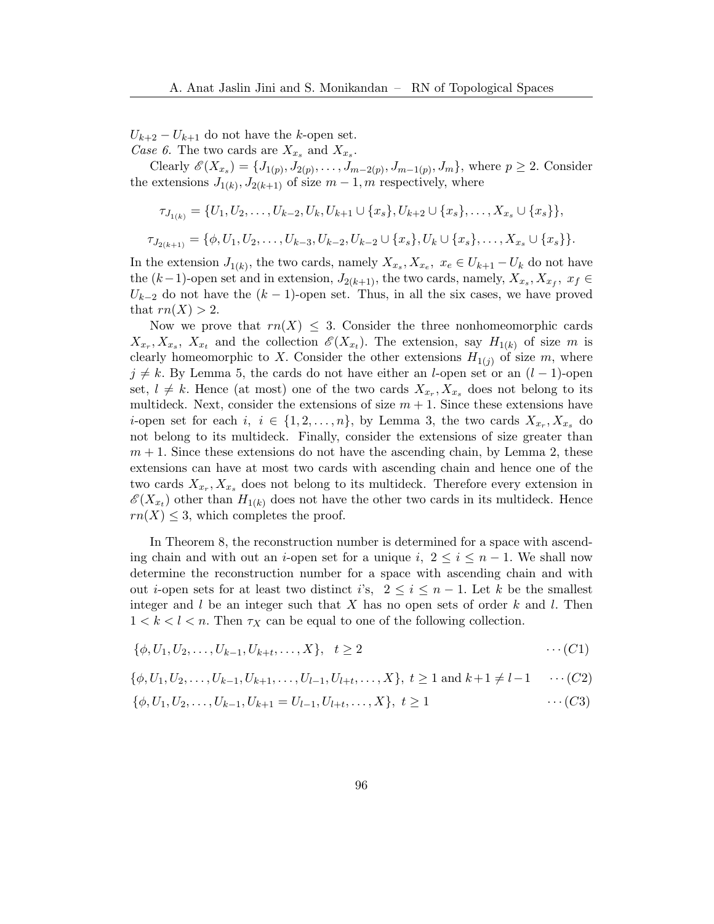$U_{k+2} - U_{k+1}$  do not have the k-open set. Case 6. The two cards are  $X_{x_s}$  and  $X_{x_s}$ .

Clearly  $\mathscr{E}(X_{x_s}) = \{J_{1(p)}, J_{2(p)}, \ldots, J_{m-2(p)}, J_{m-1(p)}, J_m\}$ , where  $p \geq 2$ . Consider the extensions  $J_{1(k)}$ ,  $J_{2(k+1)}$  of size  $m-1$ , m respectively, where

$$
\tau_{J_{1(k)}} = \{U_1, U_2, \dots, U_{k-2}, U_k, U_{k+1} \cup \{x_s\}, U_{k+2} \cup \{x_s\}, \dots, X_{x_s} \cup \{x_s\}\},
$$
  

$$
\tau_{J_{2(k+1)}} = \{\phi, U_1, U_2, \dots, U_{k-3}, U_{k-2}, U_{k-2} \cup \{x_s\}, U_k \cup \{x_s\}, \dots, X_{x_s} \cup \{x_s\}\}.
$$

In the extension  $J_{1(k)}$ , the two cards, namely  $X_{x_s}, X_{x_e}, x_e \in U_{k+1} - U_k$  do not have the  $(k-1)$ -open set and in extension,  $J_{2(k+1)}$ , the two cards, namely,  $X_{x_s}, X_{x_f}, x_f \in$  $U_{k-2}$  do not have the  $(k-1)$ -open set. Thus, in all the six cases, we have proved that  $rn(X) > 2$ .

Now we prove that  $rn(X) \leq 3$ . Consider the three nonhomeomorphic cards  $X_{x_r}, X_{x_s}, X_{x_t}$  and the collection  $\mathscr{E}(X_{x_t})$ . The extension, say  $H_{1(k)}$  of size m is clearly homeomorphic to X. Consider the other extensions  $H_{1(j)}$  of size m, where  $j \neq k$ . By Lemma [5,](#page-3-2) the cards do not have either an l-open set or an  $(l-1)$ -open set,  $l \neq k$ . Hence (at most) one of the two cards  $X_{x_r}, X_{x_s}$  does not belong to its multideck. Next, consider the extensions of size  $m + 1$ . Since these extensions have *i*-open set for each  $i, i \in \{1, 2, ..., n\}$ , by Lemma [3,](#page-3-1) the two cards  $X_{x_r}, X_{x_s}$  do not belong to its multideck. Finally, consider the extensions of size greater than  $m + 1$ . Since these extensions do not have the ascending chain, by Lemma [2,](#page-2-1) these extensions can have at most two cards with ascending chain and hence one of the two cards  $X_{x_r}, X_{x_s}$  does not belong to its multideck. Therefore every extension in  $\mathscr{E}(X_{x_t})$  other than  $H_{1(k)}$  does not have the other two cards in its multideck. Hence  $rn(X) \leq 3$ , which completes the proof.

In Theorem [8,](#page-5-0) the reconstruction number is determined for a space with ascending chain and with out an *i*-open set for a unique i,  $2 \le i \le n-1$ . We shall now determine the reconstruction number for a space with ascending chain and with out *i*-open sets for at least two distinct i's,  $2 \le i \le n-1$ . Let k be the smallest integer and l be an integer such that X has no open sets of order k and l. Then  $1 < k < l < n$ . Then  $\tau_X$  can be equal to one of the following collection.

$$
\{\phi, U_1, U_2, \dots, U_{k-1}, U_{k+t}, \dots, X\}, \quad t \ge 2 \qquad \dots (C1)
$$

$$
\{\phi, U_1, U_2, \dots, U_{k-1}, U_{k+1}, \dots, U_{l-1}, U_{l+t}, \dots, X\}, \ t \ge 1 \text{ and } k+1 \ne l-1 \quad \cdots (C2)
$$

$$
\{\phi, U_1, U_2, \dots, U_{k-1}, U_{k+1} = U_{l-1}, U_{l+t}, \dots, X\}, \ t \ge 1 \qquad \dots (C3)
$$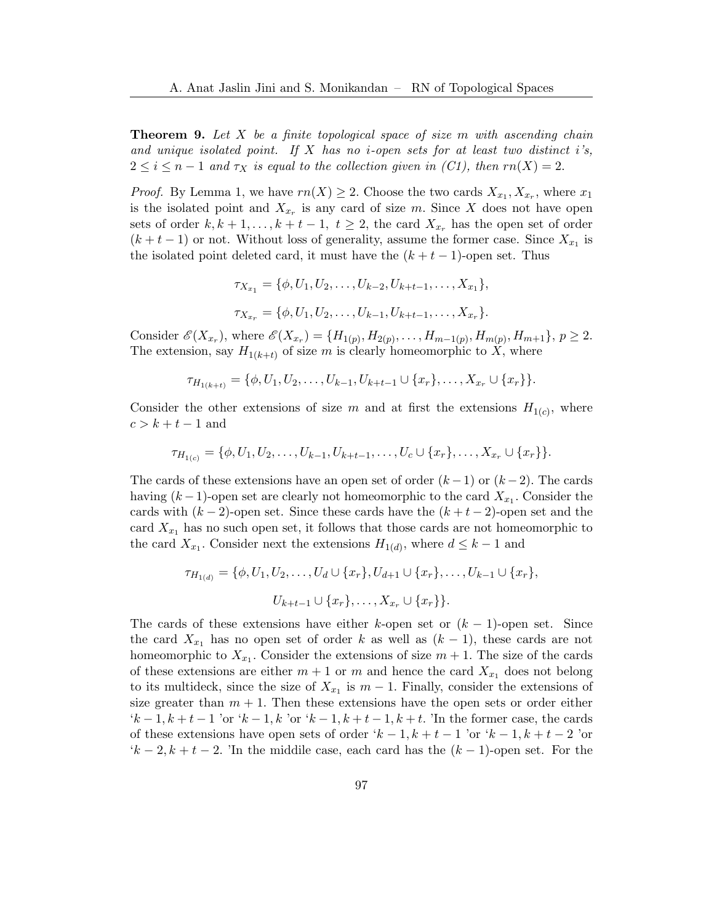**Theorem 9.** Let  $X$  be a finite topological space of size  $m$  with ascending chain and unique isolated point. If X has no *i*-open sets for at least two distinct i's,  $2 \leq i \leq n-1$  and  $\tau_X$  is equal to the collection given in (C1), then  $rn(X) = 2$ .

*Proof.* By Lemma [1,](#page-2-0) we have  $rn(X) \geq 2$ . Choose the two cards  $X_{x_1}, X_{x_r}$ , where  $x_1$ is the isolated point and  $X_{x_r}$  is any card of size m. Since X does not have open sets of order  $k, k+1, \ldots, k+t-1, t \geq 2$ , the card  $X_{x_r}$  has the open set of order  $(k + t - 1)$  or not. Without loss of generality, assume the former case. Since  $X_{x_1}$  is the isolated point deleted card, it must have the  $(k + t - 1)$ -open set. Thus

$$
\tau_{X_{x_1}} = \{ \phi, U_1, U_2, \dots, U_{k-2}, U_{k+t-1}, \dots, X_{x_1} \},
$$
  

$$
\tau_{X_{x_r}} = \{ \phi, U_1, U_2, \dots, U_{k-1}, U_{k+t-1}, \dots, X_{x_r} \}.
$$

Consider  $\mathscr{E}(X_{x_r})$ , where  $\mathscr{E}(X_{x_r}) = \{H_{1(p)}, H_{2(p)}, \ldots, H_{m-1(p)}, H_{m(p)}, H_{m+1}\}, p \geq 2$ . The extension, say  $H_{1(k+t)}$  of size m is clearly homeomorphic to X, where

$$
\tau_{H_{1(k+t)}} = \{\phi, U_1, U_2, \ldots, U_{k-1}, U_{k+t-1} \cup \{x_r\}, \ldots, X_{x_r} \cup \{x_r\}\}.
$$

Consider the other extensions of size m and at first the extensions  $H_{1(c)}$ , where  $c > k + t - 1$  and

$$
\tau_{H_{1(c)}} = \{\phi, U_1, U_2, \dots, U_{k-1}, U_{k+t-1}, \dots, U_c \cup \{x_r\}, \dots, X_{x_r} \cup \{x_r\}\}.
$$

The cards of these extensions have an open set of order  $(k-1)$  or  $(k-2)$ . The cards having  $(k-1)$ -open set are clearly not homeomorphic to the card  $X_{x_1}$ . Consider the cards with  $(k-2)$ -open set. Since these cards have the  $(k+t-2)$ -open set and the card  $X_{x_1}$  has no such open set, it follows that those cards are not homeomorphic to the card  $X_{x_1}$ . Consider next the extensions  $H_{1(d)}$ , where  $d \leq k-1$  and

$$
\tau_{H_{1(d)}} = \{ \phi, U_1, U_2, \dots, U_d \cup \{x_r\}, U_{d+1} \cup \{x_r\}, \dots, U_{k-1} \cup \{x_r\},\
$$

$$
U_{k+t-1} \cup \{x_r\}, \dots, X_{x_r} \cup \{x_r\} \}.
$$

The cards of these extensions have either k-open set or  $(k-1)$ -open set. Since the card  $X_{x_1}$  has no open set of order k as well as  $(k-1)$ , these cards are not homeomorphic to  $X_{x_1}$ . Consider the extensions of size  $m + 1$ . The size of the cards of these extensions are either  $m + 1$  or m and hence the card  $X_{x_1}$  does not belong to its multideck, since the size of  $X_{x_1}$  is  $m-1$ . Finally, consider the extensions of size greater than  $m + 1$ . Then these extensions have the open sets or order either  $k-1, k+t-1$  'or  $k-1, k$  'or  $k-1, k+t-1, k+t$ . 'In the former case, the cards of these extensions have open sets of order ' $k-1, k+t-1$ 'or ' $k-1, k+t-2$ 'or  $(k-2, k+t-2)$ . The middile case, each card has the  $(k-1)$ -open set. For the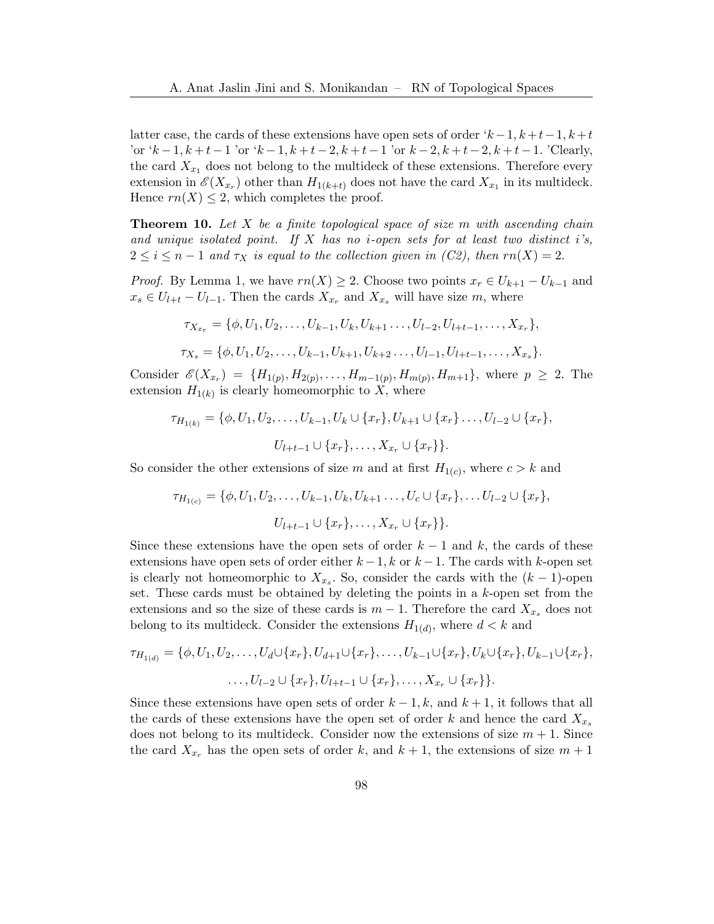latter case, the cards of these extensions have open sets of order  $k-1, k+t-1, k+t$ 'or  $k-1, k+t-1$  'or  $k-1, k+t-2, k+t-1$  'or  $k-2, k+t-2, k+t-1$ . 'Clearly, the card  $X_{x_1}$  does not belong to the multideck of these extensions. Therefore every extension in  $\mathscr{E}(X_{x_r})$  other than  $H_{1(k+t)}$  does not have the card  $X_{x_1}$  in its multideck. Hence  $rn(X) \leq 2$ , which completes the proof.

**Theorem 10.** Let X be a finite topological space of size m with ascending chain and unique isolated point. If X has no *i*-open sets for at least two distinct i's,  $2 \leq i \leq n-1$  and  $\tau_X$  is equal to the collection given in (C2), then  $rn(X) = 2$ .

*Proof.* By Lemma [1,](#page-2-0) we have  $rn(X) \geq 2$ . Choose two points  $x_r \in U_{k+1} - U_{k-1}$  and  $x_s \in U_{l+t} - U_{l-1}$ . Then the cards  $X_{x_r}$  and  $X_{x_s}$  will have size m, where

$$
\tau_{X_{x_r}} = \{ \phi, U_1, U_2, \dots, U_{k-1}, U_k, U_{k+1}, \dots, U_{l-2}, U_{l+t-1}, \dots, X_{x_r} \},
$$
  

$$
\tau_{X_s} = \{ \phi, U_1, U_2, \dots, U_{k-1}, U_{k+1}, U_{k+2}, \dots, U_{l-1}, U_{l+t-1}, \dots, X_{x_s} \}.
$$

Consider  $\mathscr{E}(X_{x_r}) = \{H_{1(p)}, H_{2(p)}, \ldots, H_{m-1(p)}, H_{m(p)}, H_{m+1}\},\$  where  $p \geq 2$ . The extension  $H_{1(k)}$  is clearly homeomorphic to X, where

$$
\tau_{H_{1(k)}} = \{ \phi, U_1, U_2, \dots, U_{k-1}, U_k \cup \{x_r\}, U_{k+1} \cup \{x_r\} \dots, U_{l-2} \cup \{x_r\},
$$

$$
U_{l+t-1} \cup \{x_r\}, \dots, X_{x_r} \cup \{x_r\} \}.
$$

So consider the other extensions of size m and at first  $H_{1(c)}$ , where  $c > k$  and

$$
\tau_{H_{1(c)}} = \{\phi, U_1, U_2, \dots, U_{k-1}, U_k, U_{k+1} \dots, U_c \cup \{x_r\}, \dots U_{l-2} \cup \{x_r\},\
$$

$$
U_{l+t-1} \cup \{x_r\}, \dots, X_{x_r} \cup \{x_r\}.
$$

Since these extensions have the open sets of order  $k-1$  and k, the cards of these extensions have open sets of order either  $k-1$ , k or  $k-1$ . The cards with k-open set is clearly not homeomorphic to  $X_{x_s}$ . So, consider the cards with the  $(k-1)$ -open set. These cards must be obtained by deleting the points in a k-open set from the extensions and so the size of these cards is  $m-1$ . Therefore the card  $X_{x_s}$  does not belong to its multideck. Consider the extensions  $H_{1(d)}$ , where  $d < k$  and

$$
\tau_{H_{1(d)}} = \{ \phi, U_1, U_2, \dots, U_d \cup \{x_r\}, U_{d+1} \cup \{x_r\}, \dots, U_{k-1} \cup \{x_r\}, U_k \cup \{x_r\}, U_{k-1} \cup \{x_r\}, \dots, U_{l-2} \cup \{x_r\}, U_{l+t-1} \cup \{x_r\}, \dots, X_{x_r} \cup \{x_r\} \}.
$$

Since these extensions have open sets of order  $k - 1$ , k, and  $k + 1$ , it follows that all the cards of these extensions have the open set of order k and hence the card  $X_{x_s}$ does not belong to its multideck. Consider now the extensions of size  $m + 1$ . Since the card  $X_{x_r}$  has the open sets of order k, and  $k+1$ , the extensions of size  $m+1$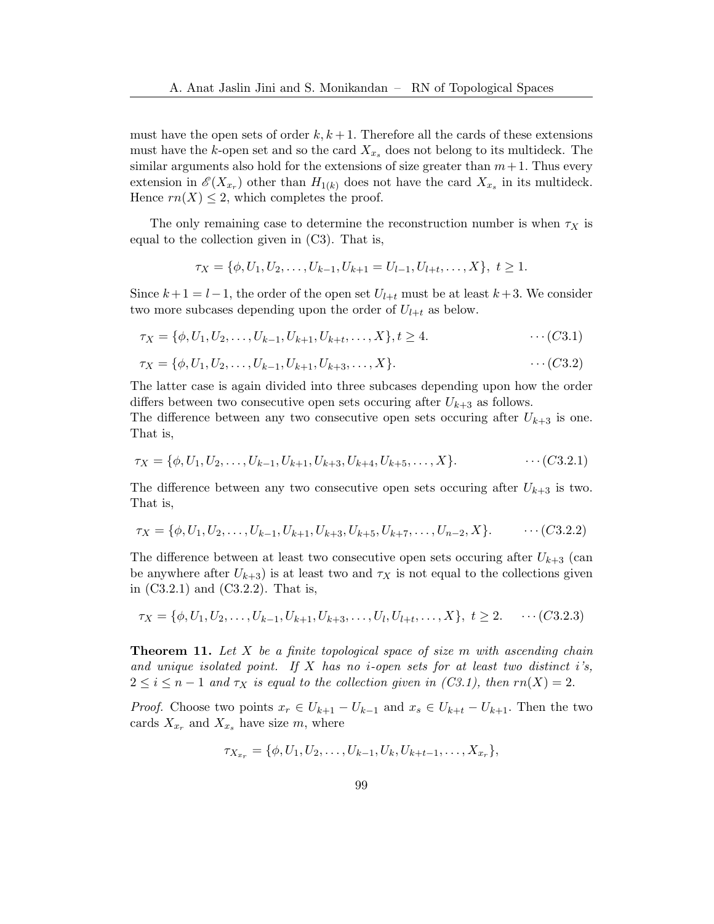must have the open sets of order  $k, k+1$ . Therefore all the cards of these extensions must have the k-open set and so the card  $X_{x_s}$  does not belong to its multideck. The similar arguments also hold for the extensions of size greater than  $m+1$ . Thus every extension in  $\mathscr{E}(X_{x_r})$  other than  $H_{1(k)}$  does not have the card  $X_{x_s}$  in its multideck. Hence  $rn(X) \leq 2$ , which completes the proof.

The only remaining case to determine the reconstruction number is when  $\tau_X$  is equal to the collection given in (C3). That is,

$$
\tau_X = \{ \phi, U_1, U_2, \dots, U_{k-1}, U_{k+1} = U_{l-1}, U_{l+t}, \dots, X \}, \ t \ge 1.
$$

Since  $k+1 = l-1$ , the order of the open set  $U_{l+t}$  must be at least  $k+3$ . We consider two more subcases depending upon the order of  $U_{l+t}$  as below.

$$
\tau_X = \{\phi, U_1, U_2, \dots, U_{k-1}, U_{k+1}, U_{k+t}, \dots, X\}, t \ge 4.
$$
 (C3.1)

$$
\tau_X = \{\phi, U_1, U_2, \dots, U_{k-1}, U_{k+1}, U_{k+3}, \dots, X\}.
$$
 (C3.2)

The latter case is again divided into three subcases depending upon how the order differs between two consecutive open sets occuring after  $U_{k+3}$  as follows.

The difference between any two consecutive open sets occuring after  $U_{k+3}$  is one. That is,

$$
\tau_X = \{\phi, U_1, U_2, \dots, U_{k-1}, U_{k+1}, U_{k+3}, U_{k+4}, U_{k+5}, \dots, X\}.
$$
 (C3.2.1)

The difference between any two consecutive open sets occuring after  $U_{k+3}$  is two. That is,

$$
\tau_X = \{\phi, U_1, U_2, \dots, U_{k-1}, U_{k+1}, U_{k+3}, U_{k+5}, U_{k+7}, \dots, U_{n-2}, X\}.\qquad \cdots (C3.2.2)
$$

The difference between at least two consecutive open sets occuring after  $U_{k+3}$  (can be anywhere after  $U_{k+3}$ ) is at least two and  $\tau_X$  is not equal to the collections given in (C3.2.1) and (C3.2.2). That is,

$$
\tau_X = \{\phi, U_1, U_2, \dots, U_{k-1}, U_{k+1}, U_{k+3}, \dots, U_l, U_{l+t}, \dots, X\}, t \ge 2. \quad \cdots (C3.2.3)
$$

**Theorem 11.** Let X be a finite topological space of size m with ascending chain and unique isolated point. If  $X$  has no *i*-open sets for at least two distinct i's,  $2 \leq i \leq n-1$  and  $\tau_X$  is equal to the collection given in  $(C3.1)$ , then  $rn(X) = 2$ .

*Proof.* Choose two points  $x_r \in U_{k+1} - U_{k-1}$  and  $x_s \in U_{k+t} - U_{k+1}$ . Then the two cards  $X_{x_r}$  and  $X_{x_s}$  have size m, where

$$
\tau_{X_{x_r}} = \{\phi, U_1, U_2, \dots, U_{k-1}, U_k, U_{k+t-1}, \dots, X_{x_r}\},\
$$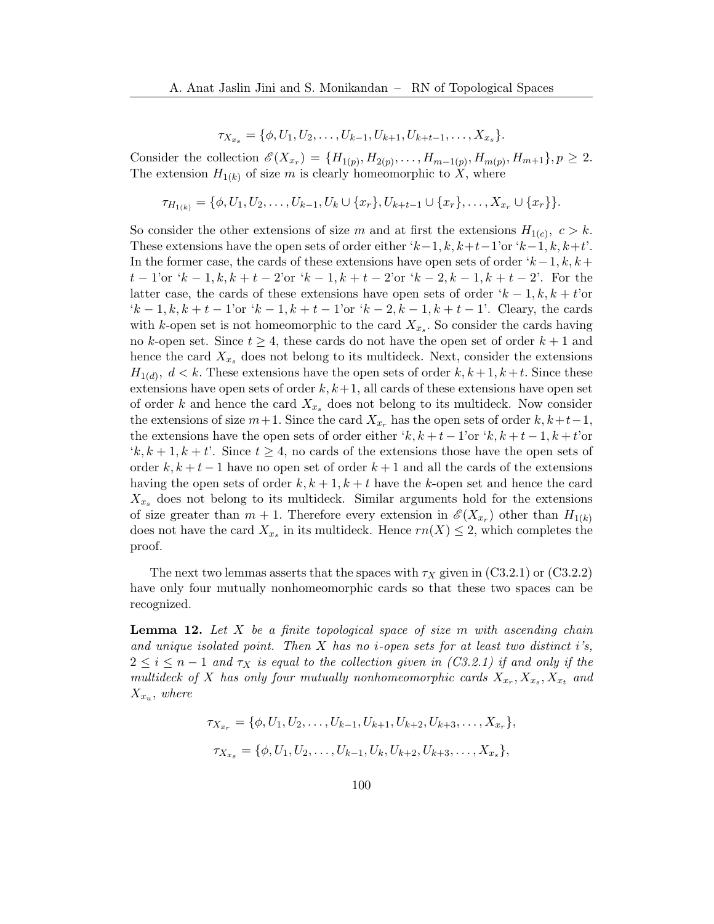$$
\tau_{X_{x_s}} = \{\phi, U_1, U_2, \dots, U_{k-1}, U_{k+1}, U_{k+t-1}, \dots, X_{x_s}\}.
$$

Consider the collection  $\mathscr{E}(X_{x_r}) = \{H_{1(p)}, H_{2(p)}, \ldots, H_{m-1(p)}, H_{m(p)}, H_{m+1}\}, p \geq 2.$ The extension  $H_{1(k)}$  of size m is clearly homeomorphic to X, where

$$
\tau_{H_{1(k)}} = \{\phi, U_1, U_2, \dots, U_{k-1}, U_k \cup \{x_r\}, U_{k+t-1} \cup \{x_r\}, \dots, X_{x_r} \cup \{x_r\}\}.
$$

So consider the other extensions of size m and at first the extensions  $H_{1(c)}$ ,  $c > k$ . These extensions have the open sets of order either ' $k-1, k, k+t-1$ 'or ' $k-1, k, k+t'$ '. In the former case, the cards of these extensions have open sets of order  $k-1, k, k+1$  $t-1$ 'or  $k-1, k, k+t-2$ 'or  $k-1, k+t-2$ 'or  $k-2, k-1, k+t-2$ '. For the latter case, the cards of these extensions have open sets of order  $k - 1, k, k + t$ 'or  $k = 1, k, k + t - 1$ 'or  $k - 1, k + t - 1$ 'or  $k - 2, k - 1, k + t - 1$ '. Cleary, the cards with k-open set is not homeomorphic to the card  $X_{x_s}$ . So consider the cards having no k-open set. Since  $t \geq 4$ , these cards do not have the open set of order  $k+1$  and hence the card  $X_{x_s}$  does not belong to its multideck. Next, consider the extensions  $H_{1(d)}$ ,  $d < k$ . These extensions have the open sets of order  $k, k+1, k+t$ . Since these extensions have open sets of order  $k, k+1$ , all cards of these extensions have open set of order k and hence the card  $X_{x_s}$  does not belong to its multideck. Now consider the extensions of size  $m+1$ . Since the card  $X_{x_r}$  has the open sets of order  $k, k+t-1$ , the extensions have the open sets of order either 'k,  $k + t - 1$ 'or 'k,  $k + t - 1$ ,  $k + t'$ or  $(k, k+1, k+t)$ . Since  $t \geq 4$ , no cards of the extensions those have the open sets of order  $k, k+t-1$  have no open set of order  $k+1$  and all the cards of the extensions having the open sets of order  $k, k+1, k+t$  have the k-open set and hence the card  $X_{x_s}$  does not belong to its multideck. Similar arguments hold for the extensions of size greater than  $m + 1$ . Therefore every extension in  $\mathscr{E}(X_{x_r})$  other than  $H_{1(k)}$ does not have the card  $X_{x_s}$  in its multideck. Hence  $rn(X) \leq 2$ , which completes the proof.

The next two lemmas asserts that the spaces with  $\tau_X$  given in (C3.2.1) or (C3.2.2) have only four mutually nonhomeomorphic cards so that these two spaces can be recognized.

<span id="page-11-0"></span>**Lemma 12.** Let  $X$  be a finite topological space of size  $m$  with ascending chain and unique isolated point. Then  $X$  has no *i*-open sets for at least two distinct i's,  $2 \leq i \leq n-1$  and  $\tau_X$  is equal to the collection given in (C3.2.1) if and only if the multideck of X has only four mutually nonhomeomorphic cards  $X_{x_r}, X_{x_s}, X_{x_t}$  and  $X_{x_u}$ , where

$$
\tau_{X_{x_r}} = \{ \phi, U_1, U_2, \dots, U_{k-1}, U_{k+1}, U_{k+2}, U_{k+3}, \dots, X_{x_r} \},
$$
  

$$
\tau_{X_{x_s}} = \{ \phi, U_1, U_2, \dots, U_{k-1}, U_k, U_{k+2}, U_{k+3}, \dots, X_{x_s} \},
$$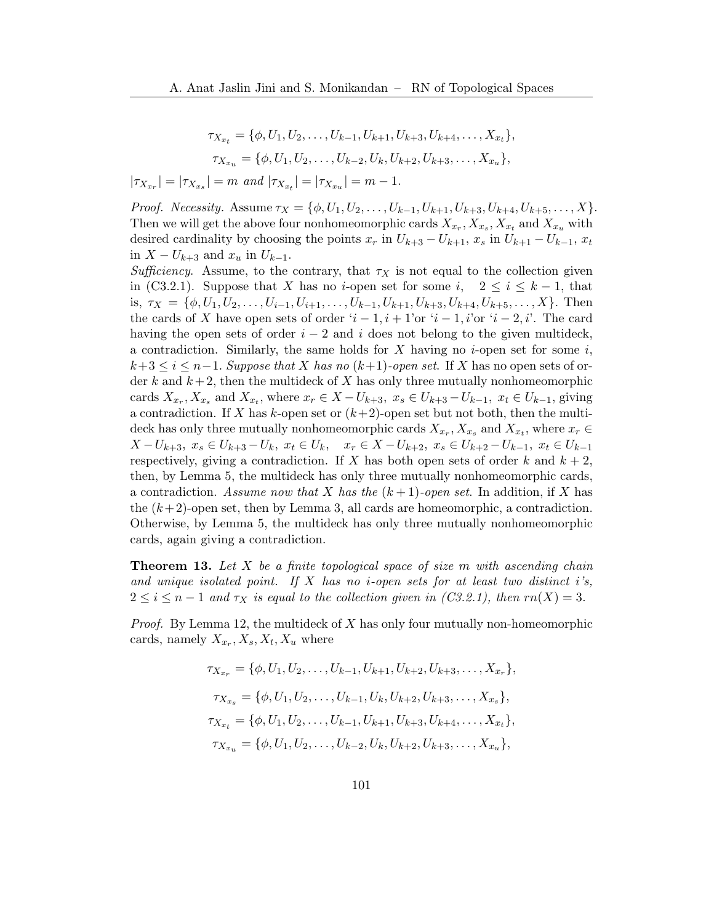$$
\tau_{X_{x_t}} = \{ \phi, U_1, U_2, \dots, U_{k-1}, U_{k+1}, U_{k+3}, U_{k+4}, \dots, X_{x_t} \},
$$
  

$$
\tau_{X_{x_u}} = \{ \phi, U_1, U_2, \dots, U_{k-2}, U_k, U_{k+2}, U_{k+3}, \dots, X_{x_u} \},
$$

 $|\tau_{X_{x_r}}| = |\tau_{X_{x_s}}| = m \text{ and } |\tau_{X_{x_t}}| = |\tau_{X_{x_u}}| = m - 1.$ 

*Proof. Necessity.* Assume  $\tau_X = {\phi, U_1, U_2, \ldots, U_{k-1}, U_{k+1}, U_{k+3}, U_{k+4}, U_{k+5}, \ldots, X}.$ Then we will get the above four nonhomeomorphic cards  $X_{x_r}$ ,  $X_{x_s}$ ,  $X_{x_t}$  and  $X_{x_u}$  with desired cardinality by choosing the points  $x_r$  in  $U_{k+3} - U_{k+1}$ ,  $x_s$  in  $U_{k+1} - U_{k-1}$ ,  $x_t$ in  $X - U_{k+3}$  and  $x_u$  in  $U_{k-1}$ .

Sufficiency. Assume, to the contrary, that  $\tau_X$  is not equal to the collection given in (C3.2.1). Suppose that X has no *i*-open set for some i,  $2 \le i \le k-1$ , that is,  $\tau_X = \{\phi, U_1, U_2, \ldots, U_{i-1}, U_{i+1}, \ldots, U_{k-1}, U_{k+1}, U_{k+3}, U_{k+4}, U_{k+5}, \ldots, X\}$ . Then the cards of X have open sets of order  $i-1, i+1$ 'or  $i-1, i$ 'or  $i-2, i'$ . The card having the open sets of order  $i - 2$  and i does not belong to the given multideck, a contradiction. Similarly, the same holds for X having no *i*-open set for some  $i$ ,  $k+3 \leq i \leq n-1$ . Suppose that X has no  $(k+1)$ -open set. If X has no open sets of order k and  $k+2$ , then the multideck of X has only three mutually nonhomeomorphic cards  $X_{x_r}, X_{x_s}$  and  $X_{x_t}$ , where  $x_r \in X - U_{k+3}, x_s \in U_{k+3} - U_{k-1}, x_t \in U_{k-1}$ , giving a contradiction. If X has k-open set or  $(k+2)$ -open set but not both, then the multideck has only three mutually nonhomeomorphic cards  $X_{x_r}$ ,  $X_{x_s}$  and  $X_{x_t}$ , where  $x_r \in$  $X-U_{k+3}, x_s\in U_{k+3}-U_k, x_t\in U_k, x_r\in X-U_{k+2}, x_s\in U_{k+2}-U_{k-1}, x_t\in U_{k-1}$ respectively, giving a contradiction. If X has both open sets of order k and  $k + 2$ , then, by Lemma [5,](#page-3-2) the multideck has only three mutually nonhomeomorphic cards, a contradiction. Assume now that X has the  $(k+1)$ -open set. In addition, if X has the  $(k+2)$ -open set, then by Lemma [3,](#page-3-1) all cards are homeomorphic, a contradiction. Otherwise, by Lemma [5,](#page-3-2) the multideck has only three mutually nonhomeomorphic cards, again giving a contradiction.

**Theorem 13.** Let X be a finite topological space of size  $m$  with ascending chain and unique isolated point. If X has no *i*-open sets for at least two distinct i's,  $2 \leq i \leq n-1$  and  $\tau_X$  is equal to the collection given in (C3.2.1), then  $rn(X) = 3$ .

*Proof.* By Lemma [12,](#page-11-0) the multideck of  $X$  has only four mutually non-homeomorphic cards, namely  $X_{x_r}, X_s, X_t, X_u$  where

$$
\tau_{X_{x_r}} = \{ \phi, U_1, U_2, \dots, U_{k-1}, U_{k+1}, U_{k+2}, U_{k+3}, \dots, X_{x_r} \},
$$
  
\n
$$
\tau_{X_{x_s}} = \{ \phi, U_1, U_2, \dots, U_{k-1}, U_k, U_{k+2}, U_{k+3}, \dots, X_{x_s} \},
$$
  
\n
$$
\tau_{X_{x_t}} = \{ \phi, U_1, U_2, \dots, U_{k-1}, U_{k+1}, U_{k+3}, U_{k+4}, \dots, X_{x_t} \},
$$
  
\n
$$
\tau_{X_{x_u}} = \{ \phi, U_1, U_2, \dots, U_{k-2}, U_k, U_{k+2}, U_{k+3}, \dots, X_{x_u} \},
$$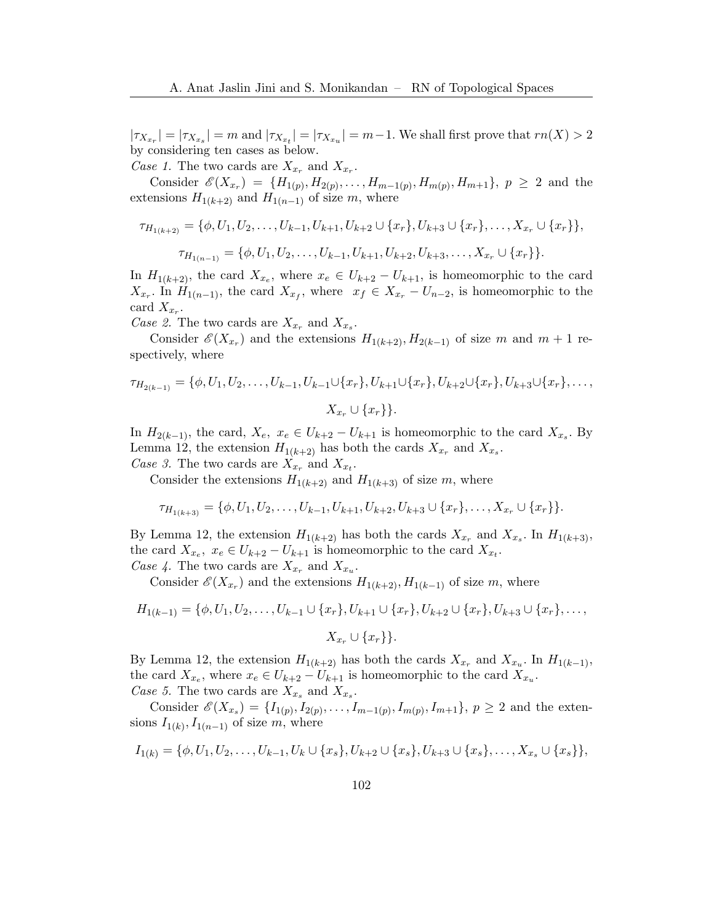$|\tau_{X_{x_r}}| = |\tau_{X_{x_s}}| = m$  and  $|\tau_{X_{x_t}}| = |\tau_{X_{x_u}}| = m-1$ . We shall first prove that  $rn(X) > 2$ by considering ten cases as below.

Case 1. The two cards are  $X_{x_r}$  and  $X_{x_r}$ .

Consider  $\mathscr{E}(X_{x_r}) = \{H_{1(p)}, H_{2(p)}, \ldots, H_{m-1(p)}, H_{m(p)}, H_{m+1}\}, p \geq 2$  and the extensions  $H_{1(k+2)}$  and  $H_{1(n-1)}$  of size m, where

$$
\tau_{H_{1(k+2)}} = \{ \phi, U_1, U_2, \dots, U_{k-1}, U_{k+1}, U_{k+2} \cup \{x_r\}, U_{k+3} \cup \{x_r\}, \dots, X_{x_r} \cup \{x_r\} \},
$$

$$
\tau_{H_{1(n-1)}} = \{ \phi, U_1, U_2, \dots, U_{k-1}, U_{k+1}, U_{k+2}, U_{k+3}, \dots, X_{x_r} \cup \{x_r\} \}.
$$

In  $H_{1(k+2)}$ , the card  $X_{x_e}$ , where  $x_e \in U_{k+2} - U_{k+1}$ , is homeomorphic to the card  $X_{x_r}$ . In  $H_{1(n-1)}$ , the card  $X_{x_f}$ , where  $x_f \in X_{x_r} - U_{n-2}$ , is homeomorphic to the card  $X_{x_r}$ .

Case 2. The two cards are  $X_{x_r}$  and  $X_{x_s}$ .

Consider  $\mathscr{E}(X_{x_r})$  and the extensions  $H_{1(k+2)}, H_{2(k-1)}$  of size m and  $m+1$  respectively, where

$$
\tau_{H_{2(k-1)}} = \{\phi, U_1, U_2, \dots, U_{k-1}, U_{k-1} \cup \{x_r\}, U_{k+1} \cup \{x_r\}, U_{k+2} \cup \{x_r\}, U_{k+3} \cup \{x_r\}, \dots, \ X_{x_r} \cup \{x_r\} \}.
$$

In  $H_{2(k-1)}$ , the card,  $X_e$ ,  $x_e \in U_{k+2} - U_{k+1}$  is homeomorphic to the card  $X_{x_s}$ . By Lemma [12,](#page-11-0) the extension  $H_{1(k+2)}$  has both the cards  $X_{x_r}$  and  $X_{x_s}$ . Case 3. The two cards are  $X_{x_r}$  and  $X_{x_t}$ .

Consider the extensions  $H_{1(k+2)}$  and  $H_{1(k+3)}$  of size m, where

$$
\tau_{H_{1(k+3)}} = \{\phi, U_1, U_2, \dots, U_{k-1}, U_{k+1}, U_{k+2}, U_{k+3} \cup \{x_r\}, \dots, X_{x_r} \cup \{x_r\}\}.
$$

By Lemma [12,](#page-11-0) the extension  $H_{1(k+2)}$  has both the cards  $X_{x_r}$  and  $X_{x_s}$ . In  $H_{1(k+3)}$ , the card  $X_{x_e}$ ,  $x_e \in U_{k+2} - U_{k+1}$  is homeomorphic to the card  $X_{x_t}$ . Case 4. The two cards are  $X_{x_r}$  and  $X_{x_u}$ .

Consider  $\mathscr{E}(X_{x_r})$  and the extensions  $H_{1(k+2)}, H_{1(k-1)}$  of size m, where

$$
H_{1(k-1)} = \{ \phi, U_1, U_2, \dots, U_{k-1} \cup \{x_r\}, U_{k+1} \cup \{x_r\}, U_{k+2} \cup \{x_r\}, U_{k+3} \cup \{x_r\}, \dots,
$$

$$
X_{x_r} \cup \{x_r\} \}.
$$

By Lemma [12,](#page-11-0) the extension  $H_{1(k+2)}$  has both the cards  $X_{x_r}$  and  $X_{x_u}$ . In  $H_{1(k-1)}$ , the card  $X_{x_e}$ , where  $x_e \in U_{k+2} - U_{k+1}$  is homeomorphic to the card  $X_{x_u}$ . Case 5. The two cards are  $X_{x_s}$  and  $X_{x_s}$ .

Consider  $\mathscr{E}(X_{x_s}) = \{I_{1(p)}, I_{2(p)}, \ldots, I_{m-1(p)}, I_{m(p)}, I_{m+1}\}, p \geq 2$  and the extensions  $I_{1(k)}, I_{1(n-1)}$  of size m, where

$$
I_{1(k)} = \{ \phi, U_1, U_2, \dots, U_{k-1}, U_k \cup \{x_s\}, U_{k+2} \cup \{x_s\}, U_{k+3} \cup \{x_s\}, \dots, X_{x_s} \cup \{x_s\} \},
$$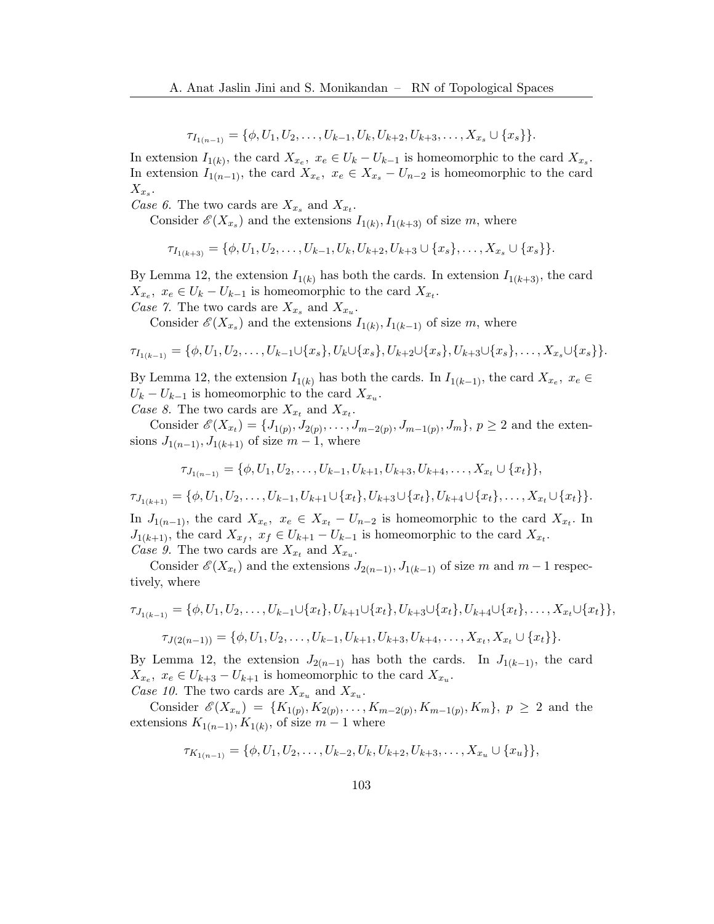$$
\tau_{I_{1(n-1)}} = \{ \phi, U_1, U_2, \dots, U_{k-1}, U_k, U_{k+2}, U_{k+3}, \dots, X_{x_s} \cup \{x_s\} \}.
$$

In extension  $I_{1(k)}$ , the card  $X_{x_e}$ ,  $x_e \in U_k - U_{k-1}$  is homeomorphic to the card  $X_{x_s}$ . In extension  $I_{1(n-1)}$ , the card  $X_{x_e}$ ,  $x_e \in X_{x_s} - U_{n-2}$  is homeomorphic to the card  $X_{x_s}.$ 

Case 6. The two cards are  $X_{x_s}$  and  $X_{x_t}$ .

Consider  $\mathscr{E}(X_{x_s})$  and the extensions  $I_{1(k)}, I_{1(k+3)}$  of size m, where

$$
\tau_{I_{1(k+3)}} = \{\phi, U_1, U_2, \dots, U_{k-1}, U_k, U_{k+2}, U_{k+3} \cup \{x_s\}, \dots, X_{x_s} \cup \{x_s\}\}.
$$

By Lemma [12,](#page-11-0) the extension  $I_{1(k)}$  has both the cards. In extension  $I_{1(k+3)}$ , the card  $X_{x_e}, x_e \in U_k - U_{k-1}$  is homeomorphic to the card  $X_{x_t}$ .

Case 7. The two cards are  $X_{x_s}$  and  $X_{x_u}$ .

Consider  $\mathscr{E}(X_{x_s})$  and the extensions  $I_{1(k)}, I_{1(k-1)}$  of size m, where

$$
\tau_{I_{1(k-1)}} = \{\phi, U_1, U_2, \ldots, U_{k-1} \cup \{x_s\}, U_k \cup \{x_s\}, U_{k+2} \cup \{x_s\}, U_{k+3} \cup \{x_s\}, \ldots, X_{x_s} \cup \{x_s\}\}.
$$

By Lemma [12,](#page-11-0) the extension  $I_{1(k)}$  has both the cards. In  $I_{1(k-1)}$ , the card  $X_{x_e}$ ,  $x_e \in$  $U_k - U_{k-1}$  is homeomorphic to the card  $X_{x_u}$ .

Case 8. The two cards are  $X_{x_t}$  and  $X_{x_t}$ .

Consider  $\mathscr{E}(X_{x_t}) = \{J_{1(p)}, J_{2(p)}, \ldots, J_{m-2(p)}, J_{m-1(p)}, J_m\}, p \ge 2$  and the extensions  $J_{1(n-1)}$ ,  $J_{1(k+1)}$  of size  $m-1$ , where

$$
\tau_{J_{1(n-1)}} = \{\phi, U_1, U_2, \ldots, U_{k-1}, U_{k+1}, U_{k+3}, U_{k+4}, \ldots, X_{x_t} \cup \{x_t\}\},\
$$

 $\tau_{J_{1(k+1)}} = \{\phi, U_1, U_2, \ldots, U_{k-1}, U_{k+1} \cup \{x_t\}, U_{k+3} \cup \{x_t\}, U_{k+4} \cup \{x_t\}, \ldots, X_{x_t} \cup \{x_t\} \}.$ 

In  $J_{1(n-1)}$ , the card  $X_{x_e}$ ,  $x_e \in X_{x_t} - U_{n-2}$  is homeomorphic to the card  $X_{x_t}$ . In  $J_{1(k+1)}$ , the card  $X_{x_f}$ ,  $x_f \in U_{k+1} - U_{k-1}$  is homeomorphic to the card  $X_{x_t}$ . Case 9. The two cards are  $X_{x_t}$  and  $X_{x_u}$ .

Consider  $\mathscr{E}(X_{x_t})$  and the extensions  $J_{2(n-1)}, J_{1(k-1)}$  of size m and  $m-1$  respectively, where

$$
\tau_{J_{1(k-1)}} = \{ \phi, U_1, U_2, \dots, U_{k-1} \cup \{x_t\}, U_{k+1} \cup \{x_t\}, U_{k+3} \cup \{x_t\}, U_{k+4} \cup \{x_t\}, \dots, X_{x_t} \cup \{x_t\} \},
$$

$$
\tau_{J(2(n-1))} = \{ \phi, U_1, U_2, \dots, U_{k-1}, U_{k+1}, U_{k+3}, U_{k+4}, \dots, X_{x_t}, X_{x_t} \cup \{x_t\} \}.
$$

By Lemma [12,](#page-11-0) the extension  $J_{2(n-1)}$  has both the cards. In  $J_{1(k-1)}$ , the card  $X_{x_e}$ ,  $x_e \in U_{k+3} - U_{k+1}$  is homeomorphic to the card  $X_{x_u}$ . Case 10. The two cards are  $X_{x_u}$  and  $X_{x_u}$ .

Consider  $\mathscr{E}(X_{x_u}) = \{K_{1(p)}, K_{2(p)}, \ldots, K_{m-2(p)}, K_{m-1(p)}, K_m\}, p \geq 2$  and the extensions  $K_{1(n-1)}, K_{1(k)}$ , of size  $m-1$  where

$$
\tau_{K_{1(n-1)}} = \{\phi, U_1, U_2, \ldots, U_{k-2}, U_k, U_{k+2}, U_{k+3}, \ldots, X_{x_u} \cup \{x_u\}\},\
$$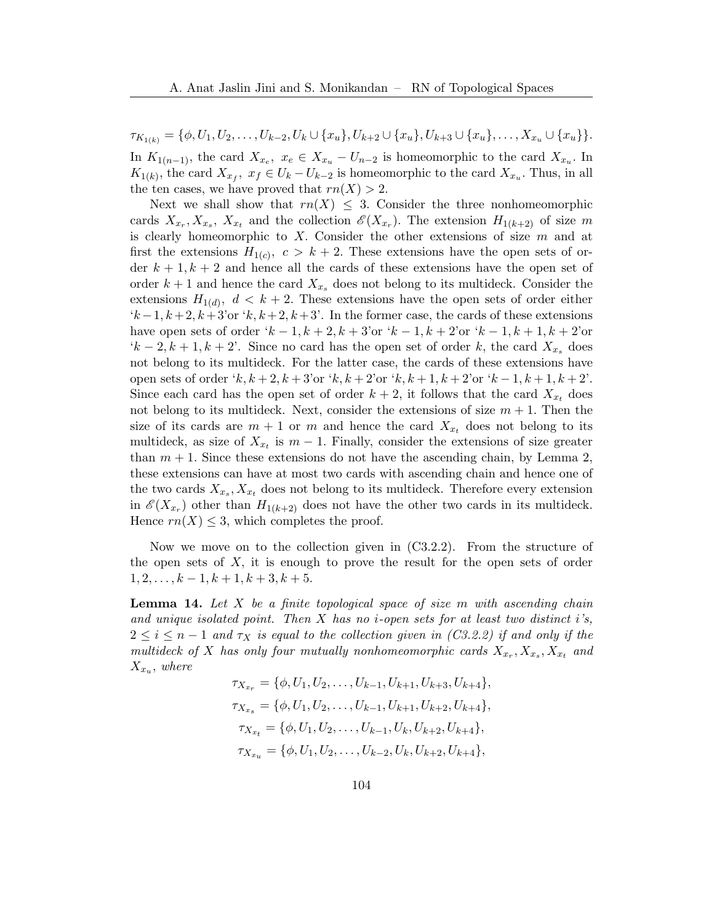$\tau_{K_{1(k)}} = \{\phi, U_1, U_2, \ldots, U_{k-2}, U_k \cup \{x_u\}, U_{k+2} \cup \{x_u\}, U_{k+3} \cup \{x_u\}, \ldots, X_{x_u} \cup \{x_u\}\}.$ In  $K_{1(n-1)}$ , the card  $X_{x_e}$ ,  $x_e \in X_{x_u} - U_{n-2}$  is homeomorphic to the card  $X_{x_u}$ . In  $K_{1(k)}$ , the card  $X_{x_f}$ ,  $x_f \in U_k - U_{k-2}$  is homeomorphic to the card  $X_{x_u}$ . Thus, in all the ten cases, we have proved that  $rn(X) > 2$ .

Next we shall show that  $rn(X) \leq 3$ . Consider the three nonhomeomorphic cards  $X_{x_r}, X_{x_s}, X_{x_t}$  and the collection  $\mathscr{E}(X_{x_r})$ . The extension  $H_{1(k+2)}$  of size m is clearly homeomorphic to X. Consider the other extensions of size  $m$  and at first the extensions  $H_{1(c)}$ ,  $c > k+2$ . These extensions have the open sets of order  $k + 1, k + 2$  and hence all the cards of these extensions have the open set of order  $k+1$  and hence the card  $X_{x_s}$  does not belong to its multideck. Consider the extensions  $H_{1(d)}$ ,  $d < k+2$ . These extensions have the open sets of order either  $k-1, k+2, k+3$ 'or  $k, k+2, k+3$ '. In the former case, the cards of these extensions have open sets of order ' $k - 1, k + 2, k + 3$ 'or ' $k - 1, k + 2$ 'or ' $k - 1, k + 1, k + 2$ 'or  $(k-2, k+1, k+2)$ . Since no card has the open set of order k, the card  $X_{x,s}$  does not belong to its multideck. For the latter case, the cards of these extensions have open sets of order 'k,  $k + 2$ ,  $k + 3$ 'or 'k,  $k + 2$ 'or 'k,  $k + 1$ ,  $k + 2$ 'or 'k  $-1$ ,  $k + 1$ ,  $k + 2$ '. Since each card has the open set of order  $k + 2$ , it follows that the card  $X_{x_t}$  does not belong to its multideck. Next, consider the extensions of size  $m + 1$ . Then the size of its cards are  $m + 1$  or m and hence the card  $X_{x_t}$  does not belong to its multideck, as size of  $X_{x_t}$  is  $m-1$ . Finally, consider the extensions of size greater than  $m + 1$ . Since these extensions do not have the ascending chain, by Lemma [2,](#page-2-1) these extensions can have at most two cards with ascending chain and hence one of the two cards  $X_{x_s}, X_{x_t}$  does not belong to its multideck. Therefore every extension in  $\mathscr{E}(X_{x_r})$  other than  $H_{1(k+2)}$  does not have the other two cards in its multideck. Hence  $rn(X) \leq 3$ , which completes the proof.

Now we move on to the collection given in (C3.2.2). From the structure of the open sets of X, it is enough to prove the result for the open sets of order  $1, 2, \ldots, k-1, k+1, k+3, k+5.$ 

<span id="page-15-0"></span>**Lemma 14.** Let  $X$  be a finite topological space of size  $m$  with ascending chain and unique isolated point. Then  $X$  has no *i*-open sets for at least two distinct *i*'s,  $2 \leq i \leq n-1$  and  $\tau_X$  is equal to the collection given in (C3.2.2) if and only if the multideck of X has only four mutually nonhomeomorphic cards  $X_{x_r}, X_{x_s}, X_{x_t}$  and  $X_{x_u}$ , where

$$
\tau_{X_{x_r}} = \{ \phi, U_1, U_2, \dots, U_{k-1}, U_{k+1}, U_{k+3}, U_{k+4} \},
$$
  
\n
$$
\tau_{X_{x_s}} = \{ \phi, U_1, U_2, \dots, U_{k-1}, U_{k+1}, U_{k+2}, U_{k+4} \},
$$
  
\n
$$
\tau_{X_{x_t}} = \{ \phi, U_1, U_2, \dots, U_{k-1}, U_k, U_{k+2}, U_{k+4} \},
$$
  
\n
$$
\tau_{X_{x_u}} = \{ \phi, U_1, U_2, \dots, U_{k-2}, U_k, U_{k+2}, U_{k+4} \},
$$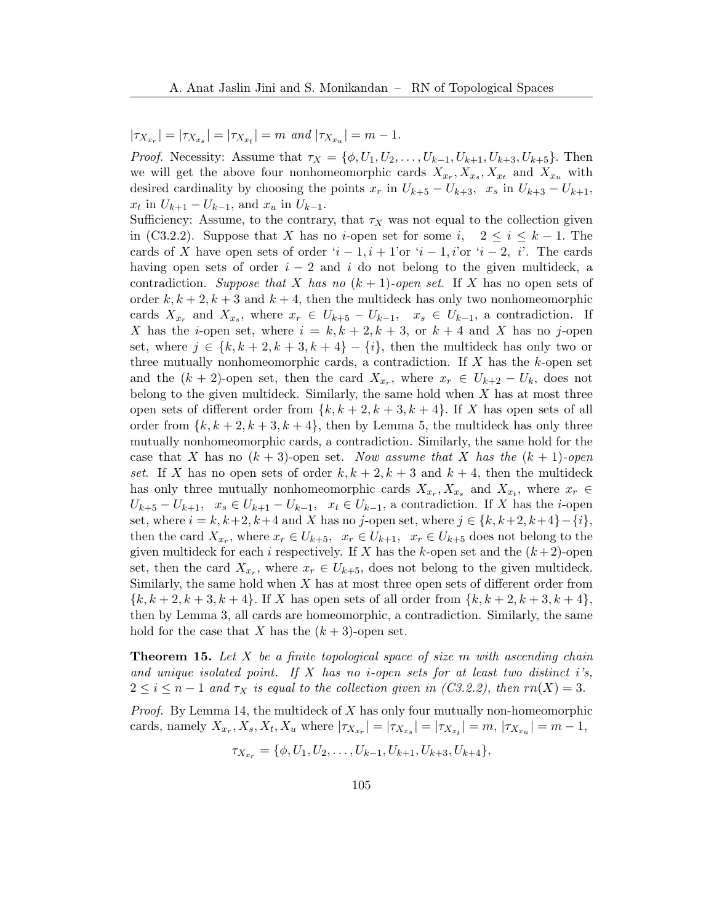# $|\tau_{X_{x_r}}| = |\tau_{X_{x_s}}| = |\tau_{X_{x_t}}| = m$  and  $|\tau_{X_{x_u}}| = m - 1$ .

*Proof.* Necessity: Assume that  $\tau_X = {\phi, U_1, U_2, ..., U_{k-1}, U_{k+1}, U_{k+3}, U_{k+5}}$ . Then we will get the above four nonhomeomorphic cards  $X_{x_r}, X_{x_s}, X_{x_t}$  and  $X_{x_u}$  with desired cardinality by choosing the points  $x_r$  in  $U_{k+5} - U_{k+3}$ ,  $x_s$  in  $U_{k+3} - U_{k+1}$ ,  $x_t$  in  $U_{k+1} - U_{k-1}$ , and  $x_u$  in  $U_{k-1}$ .

Sufficiency: Assume, to the contrary, that  $\tau_X$  was not equal to the collection given in (C3.2.2). Suppose that X has no *i*-open set for some i,  $2 \leq i \leq k-1$ . The cards of X have open sets of order  $i-1$ ,  $i+1$ 'or  $i-1$ , i'or  $i-2$ , i'. The cards having open sets of order  $i - 2$  and i do not belong to the given multideck, a contradiction. Suppose that X has no  $(k + 1)$ -open set. If X has no open sets of order  $k, k+2, k+3$  and  $k+4$ , then the multideck has only two nonhomeomorphic cards  $X_{x_r}$  and  $X_{x_s}$ , where  $x_r \in U_{k+5} - U_{k-1}$ ,  $x_s \in U_{k-1}$ , a contradiction. If X has the *i*-open set, where  $i = k, k + 2, k + 3$ , or  $k + 4$  and X has no j-open set, where  $j \in \{k, k+2, k+3, k+4\} - \{i\}$ , then the multideck has only two or three mutually nonhomeomorphic cards, a contradiction. If  $X$  has the  $k$ -open set and the  $(k + 2)$ -open set, then the card  $X_{x_r}$ , where  $x_r \in U_{k+2} - U_k$ , does not belong to the given multideck. Similarly, the same hold when X has at most three open sets of different order from  $\{k, k+2, k+3, k+4\}$ . If X has open sets of all order from  $\{k, k+2, k+3, k+4\}$ , then by Lemma [5,](#page-3-2) the multideck has only three mutually nonhomeomorphic cards, a contradiction. Similarly, the same hold for the case that X has no  $(k + 3)$ -open set. Now assume that X has the  $(k + 1)$ -open set. If X has no open sets of order  $k, k+2, k+3$  and  $k+4$ , then the multideck has only three mutually nonhomeomorphic cards  $X_{x_r}, X_{x_s}$  and  $X_{x_t}$ , where  $x_r \in$  $U_{k+5} - U_{k+1}, \quad x_s \in U_{k+1} - U_{k-1}, \quad x_t \in U_{k-1}, \quad \text{contradiction. If } X \text{ has the } i\text{-open}$ set, where  $i = k, k+2, k+4$  and X has no j-open set, where  $j \in \{k, k+2, k+4\} - \{i\}$ , then the card  $X_{x_r}$ , where  $x_r \in U_{k+5}$ ,  $x_r \in U_{k+1}$ ,  $x_r \in U_{k+5}$  does not belong to the given multideck for each i respectively. If X has the k-open set and the  $(k+2)$ -open set, then the card  $X_{x_r}$ , where  $x_r \in U_{k+5}$ , does not belong to the given multideck. Similarly, the same hold when  $X$  has at most three open sets of different order from  ${k, k+2, k+3, k+4}$ . If X has open sets of all order from  ${k, k+2, k+3, k+4}$ , then by Lemma [3,](#page-3-1) all cards are homeomorphic, a contradiction. Similarly, the same hold for the case that X has the  $(k+3)$ -open set.

**Theorem 15.** Let X be a finite topological space of size m with ascending chain and unique isolated point. If  $X$  has no *i*-open sets for at least two distinct *i*'s,  $2 \leq i \leq n-1$  and  $\tau_X$  is equal to the collection given in  $(C3.2.2)$ , then  $rn(X) = 3$ .

*Proof.* By Lemma [14,](#page-15-0) the multideck of  $X$  has only four mutually non-homeomorphic cards, namely  $X_{x_r}, X_s, X_t, X_u$  where  $|\tau_{X_{x_r}}| = |\tau_{X_{x_s}}| = |\tau_{X_{x_t}}| = m, |\tau_{X_{x_u}}| = m - 1$ ,

$$
\tau_{X_{x_r}} = \{\phi, U_1, U_2, \ldots, U_{k-1}, U_{k+1}, U_{k+3}, U_{k+4}\},\
$$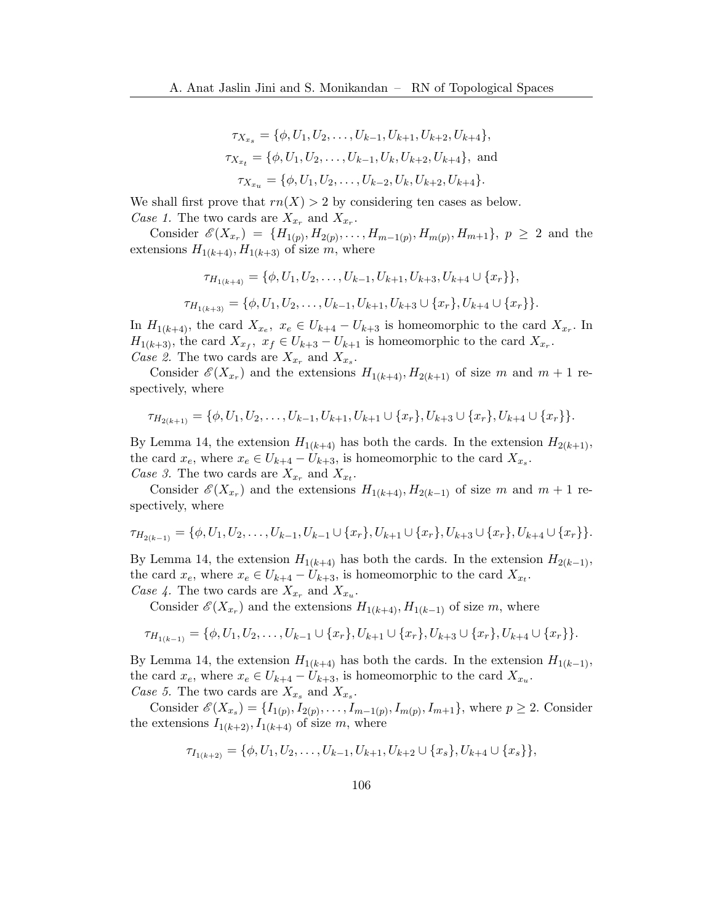$$
\tau_{X_{x_s}} = \{ \phi, U_1, U_2, \dots, U_{k-1}, U_{k+1}, U_{k+2}, U_{k+4} \},
$$
  

$$
\tau_{X_{x_t}} = \{ \phi, U_1, U_2, \dots, U_{k-1}, U_k, U_{k+2}, U_{k+4} \}, \text{ and}
$$
  

$$
\tau_{X_{x_u}} = \{ \phi, U_1, U_2, \dots, U_{k-2}, U_k, U_{k+2}, U_{k+4} \}.
$$

We shall first prove that  $rn(X) > 2$  by considering ten cases as below. Case 1. The two cards are  $X_{x_r}$  and  $X_{x_r}$ .

Consider  $\mathscr{E}(X_{x_r}) = \{H_{1(p)}, H_{2(p)}, \ldots, H_{m-1(p)}, H_{m(p)}, H_{m+1}\}, p \geq 2$  and the extensions  $H_{1(k+4)}, H_{1(k+3)}$  of size m, where

$$
\tau_{H_{1(k+4)}} = \{ \phi, U_1, U_2, \dots, U_{k-1}, U_{k+1}, U_{k+3}, U_{k+4} \cup \{x_r \} \},
$$
  

$$
\tau_{H_{1(k+3)}} = \{ \phi, U_1, U_2, \dots, U_{k-1}, U_{k+1}, U_{k+3} \cup \{x_r\}, U_{k+4} \cup \{x_r \} \}.
$$

In  $H_{1(k+4)}$ , the card  $X_{x_e}$ ,  $x_e \in U_{k+4} - U_{k+3}$  is homeomorphic to the card  $X_{x_r}$ . In  $H_{1(k+3)}$ , the card  $X_{x_f}$ ,  $x_f \in U_{k+3} - U_{k+1}$  is homeomorphic to the card  $X_{x_r}$ . Case 2. The two cards are  $X_{x_r}$  and  $X_{x_s}$ .

Consider  $\mathscr{E}(X_{x_r})$  and the extensions  $H_{1(k+4)}, H_{2(k+1)}$  of size m and  $m+1$  respectively, where

$$
\tau_{H_{2(k+1)}} = \{ \phi, U_1, U_2, \dots, U_{k-1}, U_{k+1}, U_{k+1} \cup \{x_r\}, U_{k+3} \cup \{x_r\}, U_{k+4} \cup \{x_r\} \}.
$$

By Lemma [14,](#page-15-0) the extension  $H_{1(k+4)}$  has both the cards. In the extension  $H_{2(k+1)}$ , the card  $x_e$ , where  $x_e \in U_{k+4} - U_{k+3}$ , is homeomorphic to the card  $X_{x_s}$ . Case 3. The two cards are  $X_{x_r}$  and  $X_{x_t}$ .

Consider  $\mathscr{E}(X_{x_r})$  and the extensions  $H_{1(k+4)}, H_{2(k-1)}$  of size m and  $m+1$  respectively, where

$$
\tau_{H_{2(k-1)}} = \{\phi, U_1, U_2, \ldots, U_{k-1}, U_{k-1} \cup \{x_r\}, U_{k+1} \cup \{x_r\}, U_{k+3} \cup \{x_r\}, U_{k+4} \cup \{x_r\}\}.
$$

By Lemma [14,](#page-15-0) the extension  $H_{1(k+4)}$  has both the cards. In the extension  $H_{2(k-1)}$ , the card  $x_e$ , where  $x_e \in U_{k+4} - U_{k+3}$ , is homeomorphic to the card  $X_{x_t}$ . Case 4. The two cards are  $X_{x_r}$  and  $X_{x_u}$ .

Consider  $\mathscr{E}(X_{x_r})$  and the extensions  $H_{1(k+4)}, H_{1(k-1)}$  of size m, where

$$
\tau_{H_{1(k-1)}} = \{\phi, U_1, U_2, \dots, U_{k-1} \cup \{x_r\}, U_{k+1} \cup \{x_r\}, U_{k+3} \cup \{x_r\}, U_{k+4} \cup \{x_r\}\}.
$$

By Lemma [14,](#page-15-0) the extension  $H_{1(k+4)}$  has both the cards. In the extension  $H_{1(k-1)}$ , the card  $x_e$ , where  $x_e \in U_{k+4} - U_{k+3}$ , is homeomorphic to the card  $X_{x_u}$ . Case 5. The two cards are  $X_{x_s}$  and  $X_{x_s}$ .

Consider  $\mathscr{E}(X_{x_s}) = \{I_{1(p)}, I_{2(p)}, \ldots, I_{m-1(p)}, I_{m(p)}, I_{m+1}\}\$ , where  $p \geq 2$ . Consider the extensions  $I_{1(k+2)}, I_{1(k+4)}$  of size m, where

$$
\tau_{I_{1(k+2)}} = \{ \phi, U_1, U_2, \dots, U_{k-1}, U_{k+1}, U_{k+2} \cup \{x_s\}, U_{k+4} \cup \{x_s\} \},\
$$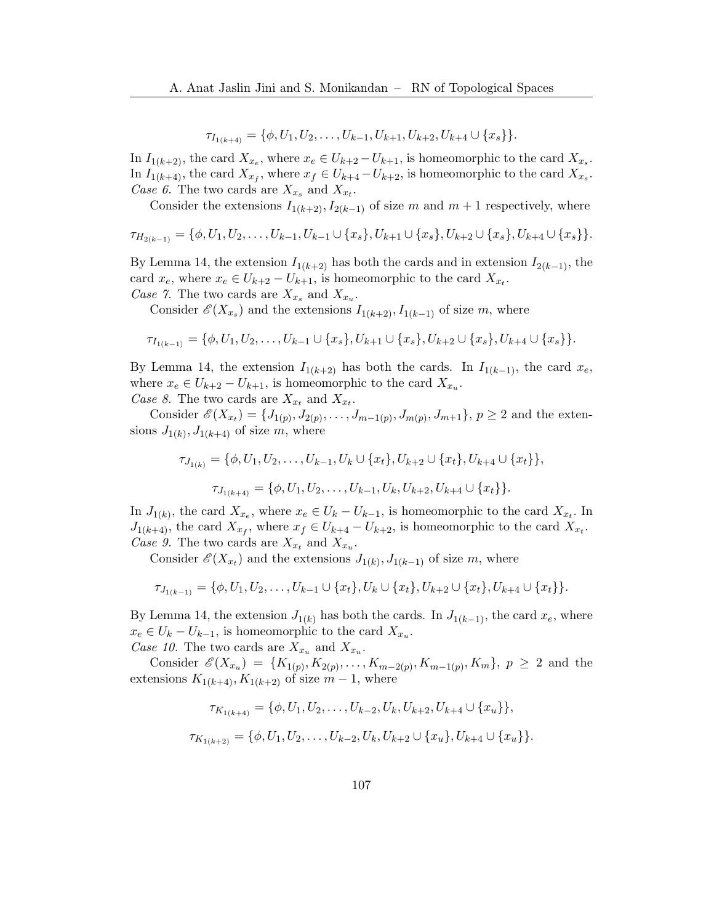$\tau_{I_{1(k+4)}} = {\phi, U_1, U_2, \ldots, U_{k-1}, U_{k+1}, U_{k+2}, U_{k+4} \cup \{x_s\}}.$ 

In  $I_{1(k+2)}$ , the card  $X_{x_e}$ , where  $x_e \in U_{k+2} - U_{k+1}$ , is homeomorphic to the card  $X_{x_s}$ . In  $I_{1(k+4)}$ , the card  $X_{x_f}$ , where  $x_f \in U_{k+4} - U_{k+2}$ , is homeomorphic to the card  $X_{x_s}$ . Case 6. The two cards are  $X_{x_s}$  and  $X_{x_t}$ .

Consider the extensions  $I_{1(k+2)}, I_{2(k-1)}$  of size m and  $m+1$  respectively, where

$$
\tau_{H_{2(k-1)}} = \{ \phi, U_1, U_2, \dots, U_{k-1}, U_{k-1} \cup \{x_s\}, U_{k+1} \cup \{x_s\}, U_{k+2} \cup \{x_s\}, U_{k+4} \cup \{x_s\} \}.
$$

By Lemma [14,](#page-15-0) the extension  $I_{1(k+2)}$  has both the cards and in extension  $I_{2(k-1)}$ , the card  $x_e$ , where  $x_e \in U_{k+2} - U_{k+1}$ , is homeomorphic to the card  $X_{x_t}$ . Case 7. The two cards are  $X_{x_s}$  and  $X_{x_u}$ .

Consider  $\mathscr{E}(X_{x_s})$  and the extensions  $I_{1(k+2)}, I_{1(k-1)}$  of size m, where

$$
\tau_{I_{1(k-1)}} = \{ \phi, U_1, U_2, \dots, U_{k-1} \cup \{x_s\}, U_{k+1} \cup \{x_s\}, U_{k+2} \cup \{x_s\}, U_{k+4} \cup \{x_s\} \}.
$$

By Lemma [14,](#page-15-0) the extension  $I_{1(k+2)}$  has both the cards. In  $I_{1(k-1)}$ , the card  $x_e$ , where  $x_e \in U_{k+2} - U_{k+1}$ , is homeomorphic to the card  $X_{x_u}$ . Case 8. The two cards are  $X_{x_t}$  and  $X_{x_t}$ .

Consider  $\mathscr{E}(X_{x_t}) = \{J_{1(p)}, J_{2(p)}, \ldots, J_{m-1(p)}, J_{m(p)}, J_{m+1}\}, p \ge 2$  and the extensions  $J_{1(k)}$ ,  $J_{1(k+4)}$  of size m, where

$$
\tau_{J_{1(k)}} = \{ \phi, U_1, U_2, \dots, U_{k-1}, U_k \cup \{x_t\}, U_{k+2} \cup \{x_t\}, U_{k+4} \cup \{x_t\} \},
$$

$$
\tau_{J_{1(k+4)}} = \{ \phi, U_1, U_2, \dots, U_{k-1}, U_k, U_{k+2}, U_{k+4} \cup \{x_t\} \}.
$$

In  $J_{1(k)}$ , the card  $X_{x_e}$ , where  $x_e \in U_k - U_{k-1}$ , is homeomorphic to the card  $X_{x_t}$ . In  $J_{1(k+4)}$ , the card  $X_{x_f}$ , where  $x_f \in U_{k+4} - U_{k+2}$ , is homeomorphic to the card  $X_{x_t}$ . Case 9. The two cards are  $X_{x_t}$  and  $X_{x_u}$ .

Consider  $\mathscr{E}(X_{x_t})$  and the extensions  $J_{1(k)}, J_{1(k-1)}$  of size m, where

$$
\tau_{J_{1(k-1)}} = \{ \phi, U_1, U_2, \dots, U_{k-1} \cup \{x_t\}, U_k \cup \{x_t\}, U_{k+2} \cup \{x_t\}, U_{k+4} \cup \{x_t\} \}.
$$

By Lemma [14,](#page-15-0) the extension  $J_{1(k)}$  has both the cards. In  $J_{1(k-1)}$ , the card  $x_e$ , where  $x_e \in U_k - U_{k-1}$ , is homeomorphic to the card  $X_{x_u}$ . Case 10. The two cards are  $X_{x_u}$  and  $X_{x_u}$ .

Consider  $\mathscr{E}(X_{x_u}) = \{K_{1(p)}, K_{2(p)}, \ldots, K_{m-2(p)}, K_{m-1(p)}, K_m\}, p \geq 2$  and the extensions  $K_{1(k+4)}, K_{1(k+2)}$  of size  $m-1$ , where

$$
\tau_{K_{1(k+4)}} = \{ \phi, U_1, U_2, \dots, U_{k-2}, U_k, U_{k+2}, U_{k+4} \cup \{x_u\} \},
$$
  

$$
\tau_{K_{1(k+2)}} = \{ \phi, U_1, U_2, \dots, U_{k-2}, U_k, U_{k+2} \cup \{x_u\}, U_{k+4} \cup \{x_u\} \}.
$$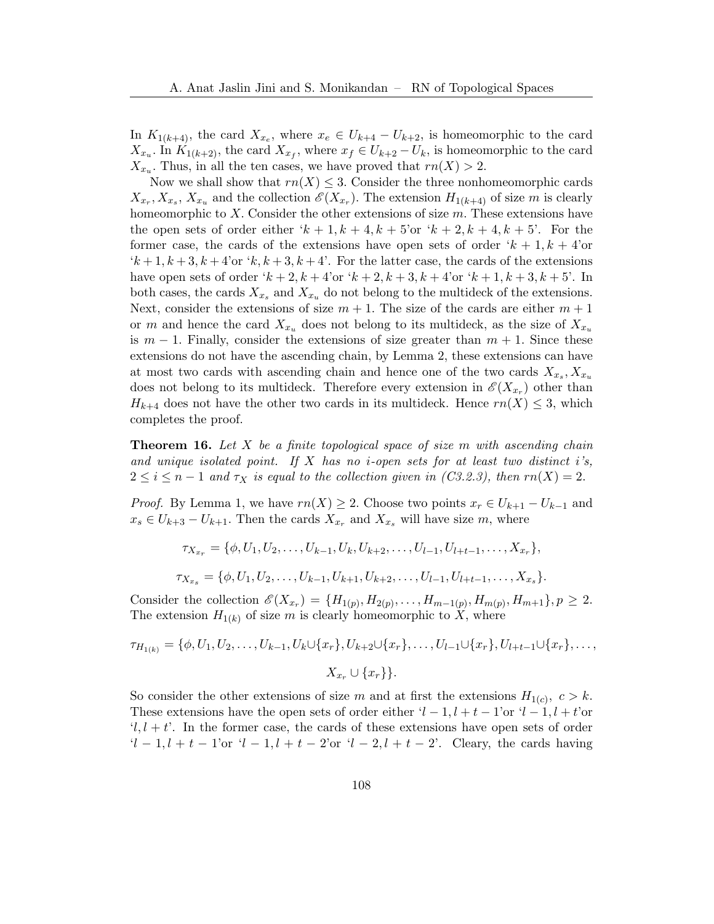In  $K_{1(k+4)}$ , the card  $X_{x_e}$ , where  $x_e \in U_{k+4} - U_{k+2}$ , is homeomorphic to the card  $X_{x_u}$ . In  $K_{1(k+2)}$ , the card  $X_{x_f}$ , where  $x_f \in U_{k+2} - U_k$ , is homeomorphic to the card  $X_{x_u}$ . Thus, in all the ten cases, we have proved that  $rn(X) > 2$ .

Now we shall show that  $rn(X) \leq 3$ . Consider the three nonhomeomorphic cards  $X_{x_r}, X_{x_s}, X_{x_u}$  and the collection  $\mathscr{E}(X_{x_r})$ . The extension  $H_{1(k+4)}$  of size m is clearly homeomorphic to X. Consider the other extensions of size  $m$ . These extensions have the open sets of order either  $k + 1, k + 4, k + 5$ 'or  $k + 2, k + 4, k + 5$ '. For the former case, the cards of the extensions have open sets of order  $k + 1, k + 4$ 'or  $(k+1, k+3, k+4$ 'or  $(k, k+3, k+4)$ '. For the latter case, the cards of the extensions have open sets of order ' $k + 2$ ,  $k + 4$ 'or ' $k + 2$ ,  $k + 3$ ,  $k + 4$ 'or ' $k + 1$ ,  $k + 3$ ,  $k + 5$ '. In both cases, the cards  $X_{x_s}$  and  $X_{x_u}$  do not belong to the multideck of the extensions. Next, consider the extensions of size  $m + 1$ . The size of the cards are either  $m + 1$ or m and hence the card  $X_{x_u}$  does not belong to its multideck, as the size of  $X_{x_u}$ is  $m-1$ . Finally, consider the extensions of size greater than  $m+1$ . Since these extensions do not have the ascending chain, by Lemma [2,](#page-2-1) these extensions can have at most two cards with ascending chain and hence one of the two cards  $X_{x_s}, X_{x_u}$ does not belong to its multideck. Therefore every extension in  $\mathscr{E}(X_{x_r})$  other than  $H_{k+4}$  does not have the other two cards in its multideck. Hence  $rn(X) \leq 3$ , which completes the proof.

**Theorem 16.** Let  $X$  be a finite topological space of size  $m$  with ascending chain and unique isolated point. If  $X$  has no *i*-open sets for at least two distinct i's,  $2 \leq i \leq n-1$  and  $\tau_X$  is equal to the collection given in  $(C3.2.3)$ , then  $rn(X) = 2$ .

*Proof.* By Lemma [1,](#page-2-0) we have  $rn(X) \geq 2$ . Choose two points  $x_r \in U_{k+1} - U_{k-1}$  and  $x_s \in U_{k+3} - U_{k+1}$ . Then the cards  $X_{x_r}$  and  $X_{x_s}$  will have size m, where

$$
\tau_{X_{x_r}} = \{ \phi, U_1, U_2, \dots, U_{k-1}, U_k, U_{k+2}, \dots, U_{l-1}, U_{l+t-1}, \dots, X_{x_r} \},
$$
  

$$
\tau_{X_{x_s}} = \{ \phi, U_1, U_2, \dots, U_{k-1}, U_{k+1}, U_{k+2}, \dots, U_{l-1}, U_{l+t-1}, \dots, X_{x_s} \}.
$$

Consider the collection  $\mathscr{E}(X_{x_r}) = \{H_{1(p)}, H_{2(p)}, \ldots, H_{m-1(p)}, H_{m(p)}, H_{m+1}\}, p \geq 2.$ The extension  $H_{1(k)}$  of size m is clearly homeomorphic to X, where

$$
\tau_{H_{1(k)}} = \{\phi, U_1, U_2, \dots, U_{k-1}, U_k \cup \{x_r\}, U_{k+2} \cup \{x_r\}, \dots, U_{l-1} \cup \{x_r\}, U_{l+t-1} \cup \{x_r\}, \dots, \ X_{x_r} \cup \{x_r\} \}.
$$

So consider the other extensions of size m and at first the extensions  $H_{1(c)}$ ,  $c > k$ . These extensions have the open sets of order either  $l-1, l+t-1$ 'or  $l-1, l+t$ 'or  $(l, l + t)$ . In the former case, the cards of these extensions have open sets of order  $l-1, l + t - 1$ 'or  $l-1, l + t - 2$ 'or  $l-2, l + t - 2$ '. Cleary, the cards having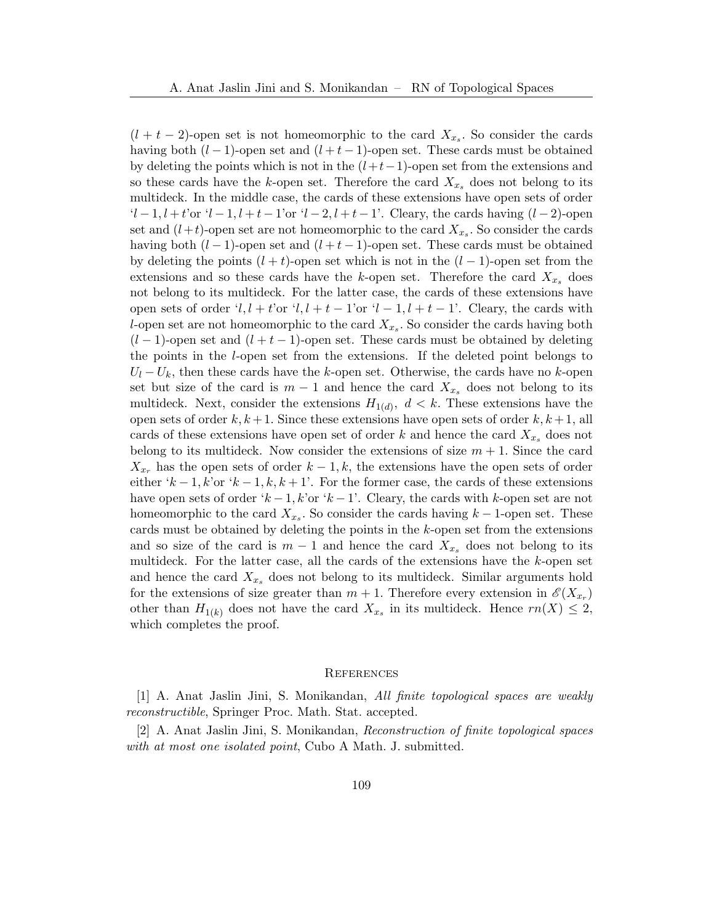$(l + t - 2)$ -open set is not homeomorphic to the card  $X_{x_s}$ . So consider the cards having both  $(l-1)$ -open set and  $(l+t-1)$ -open set. These cards must be obtained by deleting the points which is not in the  $(l+t-1)$ -open set from the extensions and so these cards have the k-open set. Therefore the card  $X_{x_s}$  does not belong to its multideck. In the middle case, the cards of these extensions have open sets of order  $l-1, l+t$ 'or  $l-1, l+t-1$ 'or  $l-2, l+t-1$ '. Cleary, the cards having  $(l-2)$ -open set and  $(l+t)$ -open set are not homeomorphic to the card  $X_{x_s}$ . So consider the cards having both  $(l-1)$ -open set and  $(l+t-1)$ -open set. These cards must be obtained by deleting the points  $(l + t)$ -open set which is not in the  $(l - 1)$ -open set from the extensions and so these cards have the k-open set. Therefore the card  $X_{x_s}$  does not belong to its multideck. For the latter case, the cards of these extensions have open sets of order 'l, l + t'or 'l, l + t − 1'or 'l − 1, l + t − 1'. Cleary, the cards with l-open set are not homeomorphic to the card  $X_{x_s}$ . So consider the cards having both  $(l-1)$ -open set and  $(l+t-1)$ -open set. These cards must be obtained by deleting the points in the l-open set from the extensions. If the deleted point belongs to  $U_l - U_k$ , then these cards have the k-open set. Otherwise, the cards have no k-open set but size of the card is  $m-1$  and hence the card  $X_{x_s}$  does not belong to its multideck. Next, consider the extensions  $H_{1(d)}$ ,  $d < k$ . These extensions have the open sets of order  $k, k+1$ . Since these extensions have open sets of order  $k, k+1$ , all cards of these extensions have open set of order k and hence the card  $X_{x_s}$  does not belong to its multideck. Now consider the extensions of size  $m + 1$ . Since the card  $X_{x_r}$  has the open sets of order  $k-1, k$ , the extensions have the open sets of order either 'k − 1, k'or 'k − 1, k, k + 1'. For the former case, the cards of these extensions have open sets of order ' $k-1$ , k'or ' $k-1$ '. Cleary, the cards with k-open set are not homeomorphic to the card  $X_{x_s}$ . So consider the cards having  $k-1$ -open set. These cards must be obtained by deleting the points in the k-open set from the extensions and so size of the card is  $m-1$  and hence the card  $X_{x,s}$  does not belong to its multideck. For the latter case, all the cards of the extensions have the  $k$ -open set and hence the card  $X_{x_s}$  does not belong to its multideck. Similar arguments hold for the extensions of size greater than  $m + 1$ . Therefore every extension in  $\mathscr{E}(X_{x_r})$ other than  $H_{1(k)}$  does not have the card  $X_{x_s}$  in its multideck. Hence  $rn(X) \leq 2$ , which completes the proof.

#### **REFERENCES**

<span id="page-20-1"></span>[1] A. Anat Jaslin Jini, S. Monikandan, All finite topological spaces are weakly reconstructible, Springer Proc. Math. Stat. accepted.

<span id="page-20-0"></span>[2] A. Anat Jaslin Jini, S. Monikandan, Reconstruction of finite topological spaces with at most one isolated point, Cubo A Math. J. submitted.